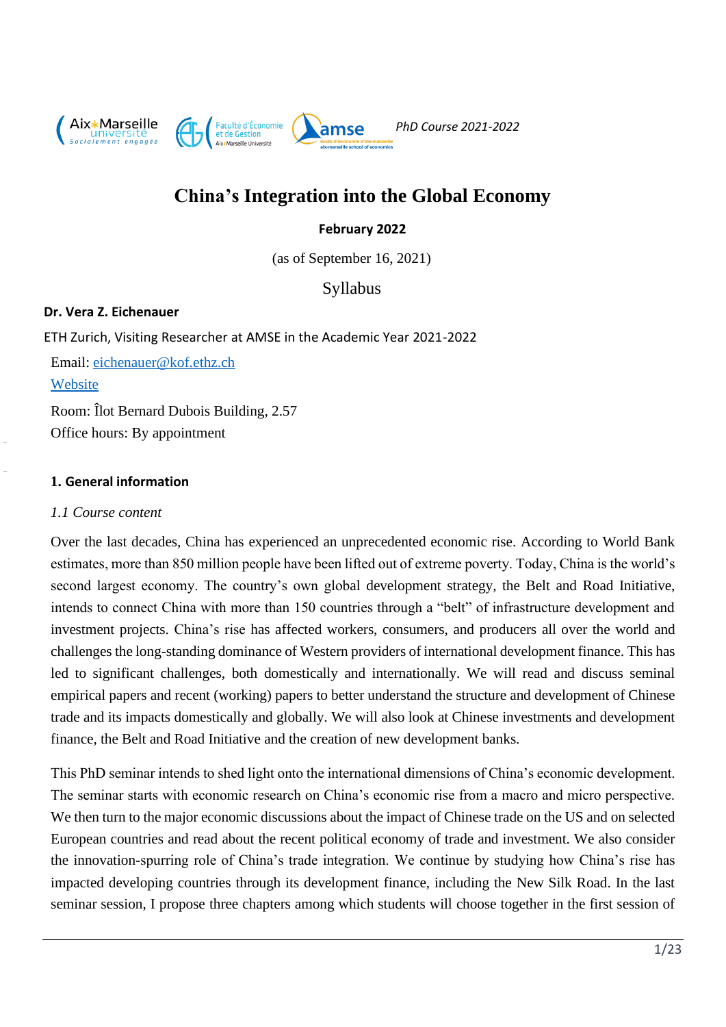

# **China's Integration into the Global Economy**

# **February 2022**

(as of September 16, 2021)

Syllabus

## **Dr. Vera Z. Eichenauer**

ETH Zurich, Visiting Researcher at AMSE in the Academic Year 2021-2022 Email: [eichenauer@kof.ethz.ch](mailto:eichenauer@kof.ethz.ch) **[Website](https://mtec.ethz.ch/people/person-detail.MjM0MDU2.TGlzdC8yODE1LC0yMDgyMjgwMDQ4.html)** Room: Îlot Bernard Dubois Building, 2.57 Office hours: By appointment

# **1. General information**

## *1.1 Course content*

Over the last decades, China has experienced an unprecedented economic rise. According to World Bank estimates, more than 850 million people have been lifted out of extreme poverty. Today, China is the world's second largest economy. The country's own global development strategy, the Belt and Road Initiative, intends to connect China with more than 150 countries through a "belt" of infrastructure development and investment projects. China's rise has affected workers, consumers, and producers all over the world and challenges the long-standing dominance of Western providers of international development finance. This has led to significant challenges, both domestically and internationally. We will read and discuss seminal empirical papers and recent (working) papers to better understand the structure and development of Chinese trade and its impacts domestically and globally. We will also look at Chinese investments and development finance, the Belt and Road Initiative and the creation of new development banks.

This PhD seminar intends to shed light onto the international dimensions of China's economic development. The seminar starts with economic research on China's economic rise from a macro and micro perspective. We then turn to the major economic discussions about the impact of Chinese trade on the US and on selected European countries and read about the recent political economy of trade and investment. We also consider the innovation-spurring role of China's trade integration. We continue by studying how China's rise has impacted developing countries through its development finance, including the New Silk Road. In the last seminar session, I propose three chapters among which students will choose together in the first session of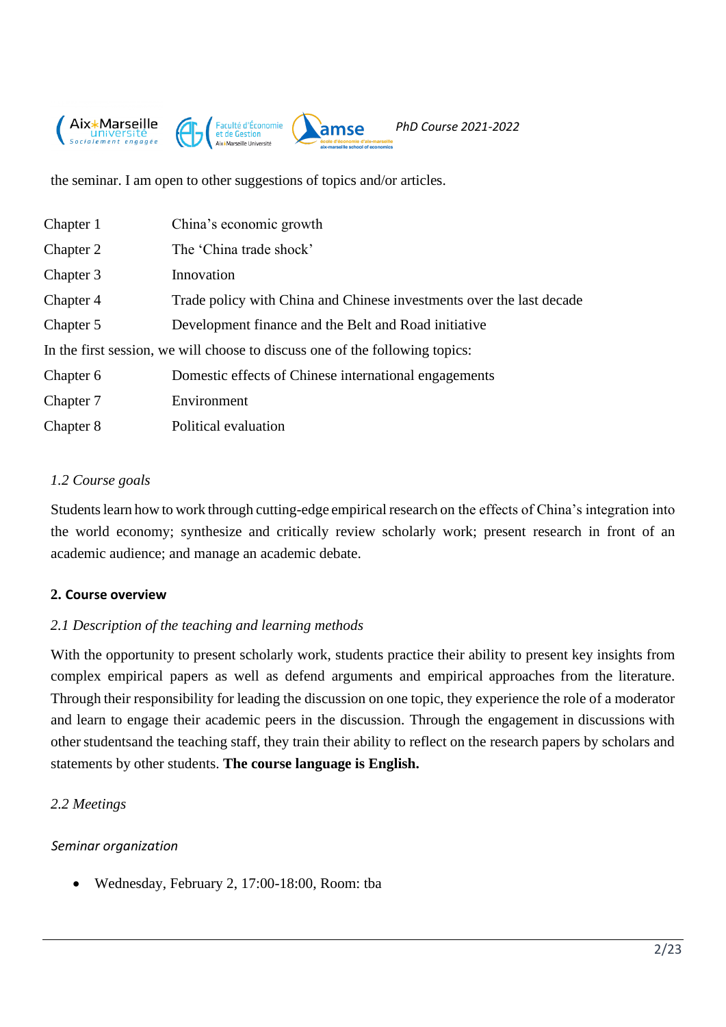

the seminar. I am open to other suggestions of topics and/or articles.

| Chapter 1 | China's economic growth                                                      |
|-----------|------------------------------------------------------------------------------|
| Chapter 2 | The 'China trade shock'                                                      |
| Chapter 3 | Innovation                                                                   |
| Chapter 4 | Trade policy with China and Chinese investments over the last decade         |
| Chapter 5 | Development finance and the Belt and Road initiative                         |
|           | In the first session, we will choose to discuss one of the following topics: |
| Chapter 6 | Domestic effects of Chinese international engagements                        |
| Chapter 7 | Environment                                                                  |
| Chapter 8 | Political evaluation                                                         |

# *1.2 Course goals*

Students learn how to work through cutting-edge empirical research on the effects of China's integration into the world economy; synthesize and critically review scholarly work; present research in front of an academic audience; and manage an academic debate.

# **2. Course overview**

# *2.1 Description of the teaching and learning methods*

With the opportunity to present scholarly work, students practice their ability to present key insights from complex empirical papers as well as defend arguments and empirical approaches from the literature. Through their responsibility for leading the discussion on one topic, they experience the role of a moderator and learn to engage their academic peers in the discussion. Through the engagement in discussions with other students and the teaching staff, they train their ability to reflect on the research papers by scholars and statements by other students. **The course language is English.**

# *2.2 Meetings*

# *Seminar organization*

• Wednesday, February 2, 17:00-18:00, Room: tba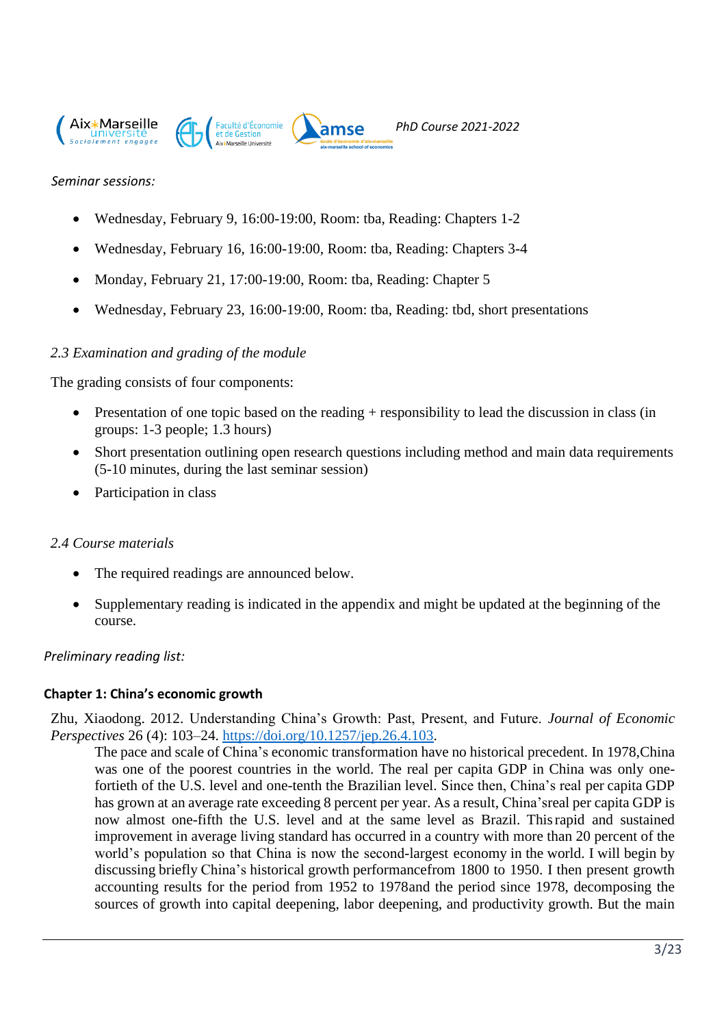





*Seminar sessions:*

- Wednesday, February 9, 16:00-19:00, Room: tba, Reading: Chapters 1-2
- Wednesday, February 16, 16:00-19:00, Room: tba, Reading: Chapters 3-4
- Monday, February 21, 17:00-19:00, Room: tba, Reading: Chapter 5
- Wednesday, February 23, 16:00-19:00, Room: tba, Reading: tbd, short presentations

amse

## *2.3 Examination and grading of the module*

The grading consists of four components:

- Presentation of one topic based on the reading + responsibility to lead the discussion in class (in groups: 1-3 people; 1.3 hours)
- Short presentation outlining open research questions including method and main data requirements (5-10 minutes, during the last seminar session)
- Participation in class

#### *2.4 Course materials*

- The required readings are announced below.
- Supplementary reading is indicated in the appendix and might be updated at the beginning of the course.

#### *Preliminary reading list:*

#### **Chapter 1: China's economic growth**

Zhu, Xiaodong. 2012. Understanding China's Growth: Past, Present, and Future. *Journal of Economic Perspectives* 26 (4): 103–24. [https://doi.org/10.1257/jep.26.4.103.](https://doi.org/10.1257/jep.26.4.103)

The pace and scale of China's economic transformation have no historical precedent. In 1978,China was one of the poorest countries in the world. The real per capita GDP in China was only onefortieth of the U.S. level and one-tenth the Brazilian level. Since then, China's real per capita GDP has grown at an average rate exceeding 8 percent per year. As a result, China'sreal per capita GDP is now almost one-fifth the U.S. level and at the same level as Brazil. Thisrapid and sustained improvement in average living standard has occurred in a country with more than 20 percent of the world's population so that China is now the second-largest economy in the world. I will begin by discussing briefly China's historical growth performancefrom 1800 to 1950. I then present growth accounting results for the period from 1952 to 1978and the period since 1978, decomposing the sources of growth into capital deepening, labor deepening, and productivity growth. But the main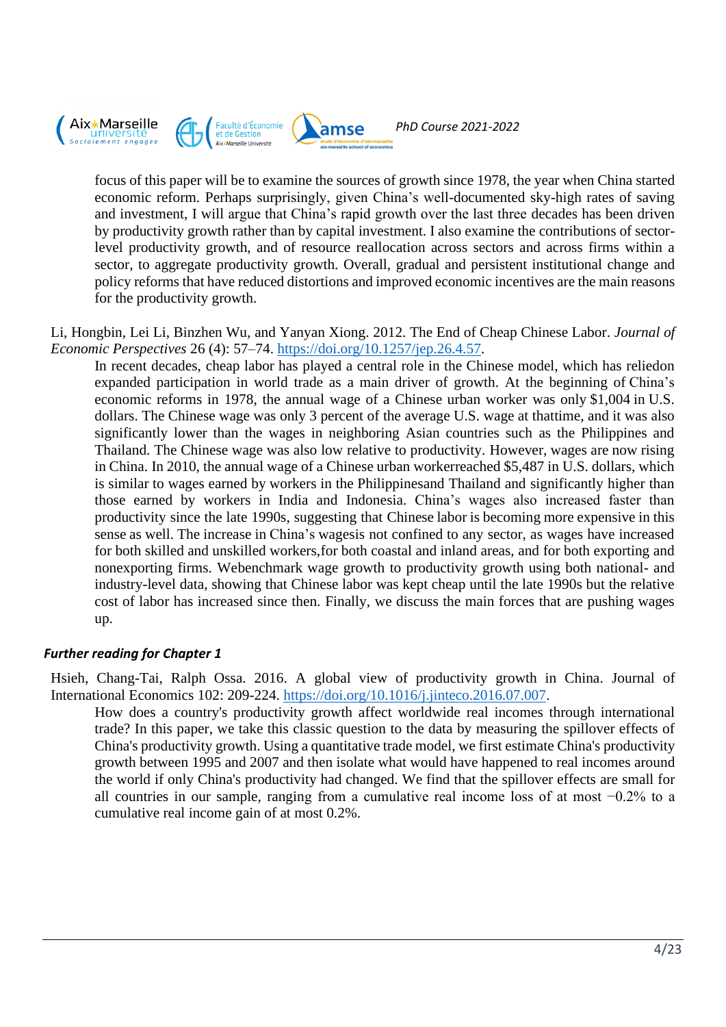

focus of this paper will be to examine the sources of growth since 1978, the year when China started economic reform. Perhaps surprisingly, given China's well-documented sky-high rates of saving and investment, I will argue that China's rapid growth over the last three decades has been driven by productivity growth rather than by capital investment. I also examine the contributions of sectorlevel productivity growth, and of resource reallocation across sectors and across firms within a sector, to aggregate productivity growth. Overall, gradual and persistent institutional change and policy reforms that have reduced distortions and improved economic incentives are the main reasons for the productivity growth.

Li, Hongbin, Lei Li, Binzhen Wu, and Yanyan Xiong. 2012. The End of Cheap Chinese Labor. *Journal of Economic Perspectives* 26 (4): 57–74. [https://doi.org/10.1257/jep.26.4.57.](https://doi.org/10.1257/jep.26.4.57)

In recent decades, cheap labor has played a central role in the Chinese model, which has reliedon expanded participation in world trade as a main driver of growth. At the beginning of China's economic reforms in 1978, the annual wage of a Chinese urban worker was only \$1,004 in U.S. dollars. The Chinese wage was only 3 percent of the average U.S. wage at thattime, and it was also significantly lower than the wages in neighboring Asian countries such as the Philippines and Thailand. The Chinese wage was also low relative to productivity. However, wages are now rising in China. In 2010, the annual wage of a Chinese urban workerreached \$5,487 in U.S. dollars, which is similar to wages earned by workers in the Philippinesand Thailand and significantly higher than those earned by workers in India and Indonesia. China's wages also increased faster than productivity since the late 1990s, suggesting that Chinese labor is becoming more expensive in this sense as well. The increase in China's wagesis not confined to any sector, as wages have increased for both skilled and unskilled workers,for both coastal and inland areas, and for both exporting and nonexporting firms. Webenchmark wage growth to productivity growth using both national- and industry-level data, showing that Chinese labor was kept cheap until the late 1990s but the relative cost of labor has increased since then. Finally, we discuss the main forces that are pushing wages up.

# *Further reading for Chapter 1*

Hsieh, Chang-Tai, Ralph Ossa. 2016. A global view of productivity growth in China. Journal of International Economics 102: 209-224. [https://doi.org/10.1016/j.jinteco.2016.07.007.](https://doi.org/10.1016/j.jinteco.2016.07.007)

How does a country's productivity growth affect worldwide real incomes through international trade? In this paper, we take this classic question to the data by measuring the spillover effects of China's productivity growth. Using a quantitative trade model, we first estimate China's productivity growth between 1995 and 2007 and then isolate what would have happened to real incomes around the world if only China's productivity had changed. We find that the spillover effects are small for all countries in our sample, ranging from a cumulative real income loss of at most −0.2% to a cumulative real income gain of at most 0.2%.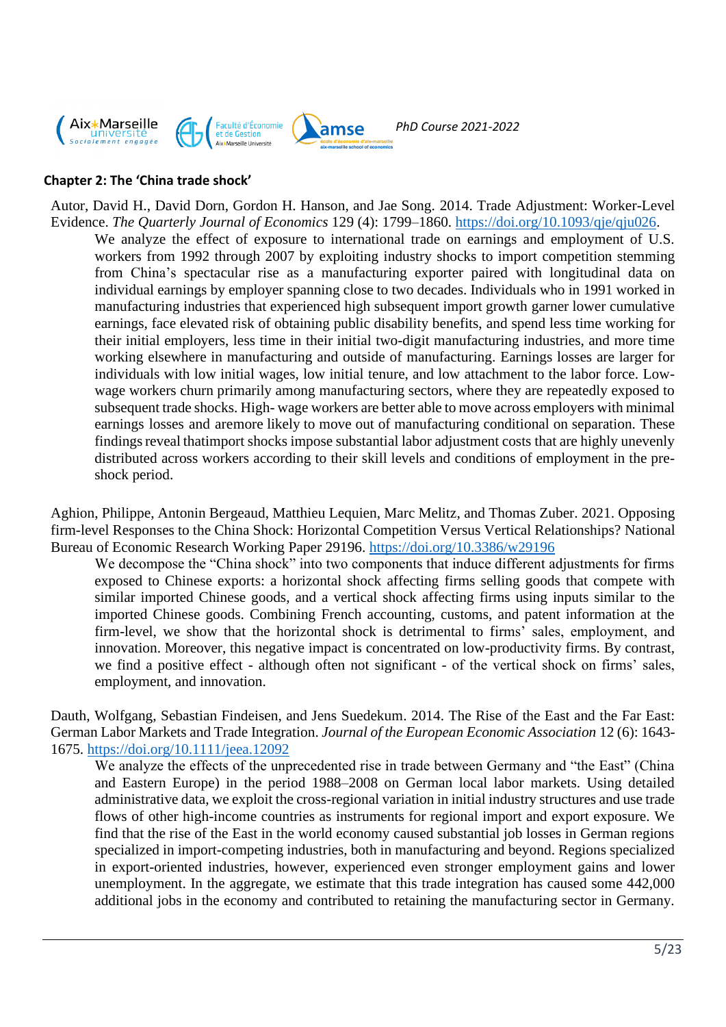

## **Chapter 2: The 'China trade shock'**

Autor, David H., David Dorn, Gordon H. Hanson, and Jae Song. 2014. Trade Adjustment: Worker-Level Evidence. *The Quarterly Journal of Economics* 129 (4): 1799–1860. [https://doi.org/10.1093/qje/qju026.](https://doi.org/10.1093/qje/qju026)

We analyze the effect of exposure to international trade on earnings and employment of U.S. workers from 1992 through 2007 by exploiting industry shocks to import competition stemming from China's spectacular rise as a manufacturing exporter paired with longitudinal data on individual earnings by employer spanning close to two decades. Individuals who in 1991 worked in manufacturing industries that experienced high subsequent import growth garner lower cumulative earnings, face elevated risk of obtaining public disability benefits, and spend less time working for their initial employers, less time in their initial two-digit manufacturing industries, and more time working elsewhere in manufacturing and outside of manufacturing. Earnings losses are larger for individuals with low initial wages, low initial tenure, and low attachment to the labor force. Lowwage workers churn primarily among manufacturing sectors, where they are repeatedly exposed to subsequent trade shocks. High- wage workers are better able to move across employers with minimal earnings losses and aremore likely to move out of manufacturing conditional on separation. These findings reveal thatimport shocks impose substantial labor adjustment costs that are highly unevenly distributed across workers according to their skill levels and conditions of employment in the preshock period.

Aghion, Philippe, Antonin Bergeaud, Matthieu Lequien, Marc Melitz, and Thomas Zuber. 2021. Opposing firm-level Responses to the China Shock: Horizontal Competition Versus Vertical Relationships? National Bureau of Economic Research Working Paper 29196. <https://doi.org/10.3386/w29196>

We decompose the "China shock" into two components that induce different adjustments for firms exposed to Chinese exports: a horizontal shock affecting firms selling goods that compete with similar imported Chinese goods, and a vertical shock affecting firms using inputs similar to the imported Chinese goods. Combining French accounting, customs, and patent information at the firm-level, we show that the horizontal shock is detrimental to firms' sales, employment, and innovation. Moreover, this negative impact is concentrated on low-productivity firms. By contrast, we find a positive effect - although often not significant - of the vertical shock on firms' sales, employment, and innovation.

Dauth, Wolfgang, Sebastian Findeisen, and Jens Suedekum. 2014. The Rise of the East and the Far East: German Labor Markets and Trade Integration. *Journal of the European Economic Association* 12 (6): 1643- 1675. <https://doi.org/10.1111/jeea.12092>

We analyze the effects of the unprecedented rise in trade between Germany and "the East" (China and Eastern Europe) in the period 1988–2008 on German local labor markets. Using detailed administrative data, we exploit the cross-regional variation in initial industry structures and use trade flows of other high-income countries as instruments for regional import and export exposure. We find that the rise of the East in the world economy caused substantial job losses in German regions specialized in import-competing industries, both in manufacturing and beyond. Regions specialized in export-oriented industries, however, experienced even stronger employment gains and lower unemployment. In the aggregate, we estimate that this trade integration has caused some 442,000 additional jobs in the economy and contributed to retaining the manufacturing sector in Germany.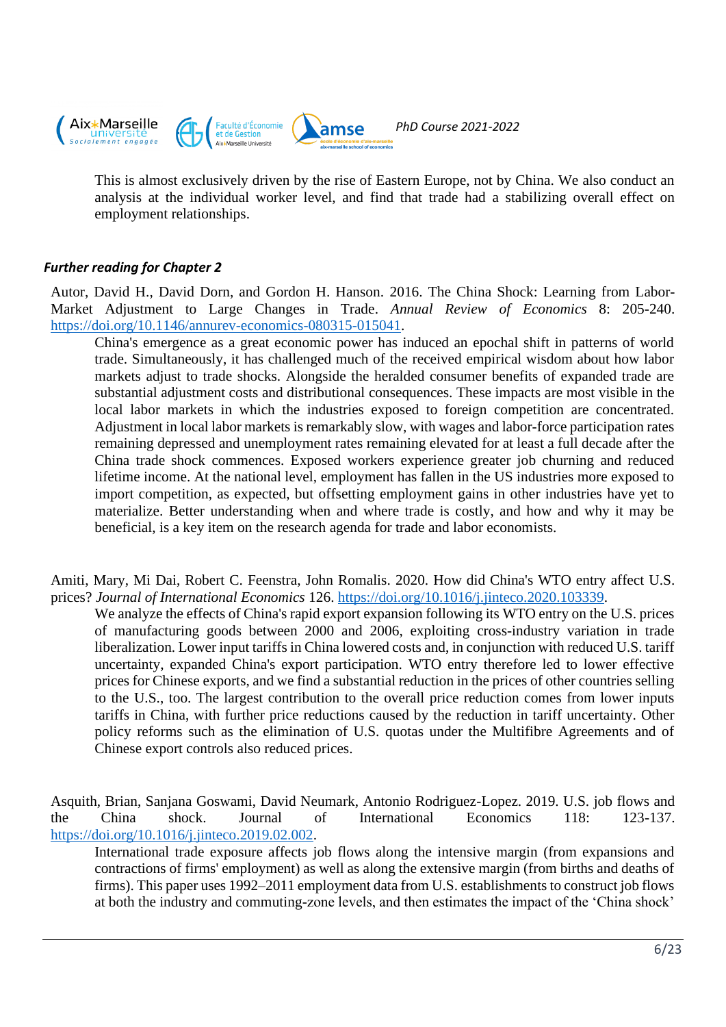

This is almost exclusively driven by the rise of Eastern Europe, not by China. We also conduct an analysis at the individual worker level, and find that trade had a stabilizing overall effect on employment relationships.

# *Further reading for Chapter 2*

Autor, David H., David Dorn, and Gordon H. Hanson. 2016. The China Shock: Learning from Labor-Market Adjustment to Large Changes in Trade. *Annual Review of Economics* 8: 205-240. [https://doi.org/10.1146/annurev-economics-080315-015041.](https://doi.org/10.1146/annurev-economics-080315-015041)

China's emergence as a great economic power has induced an epochal shift in patterns of world trade. Simultaneously, it has challenged much of the received empirical wisdom about how labor markets adjust to trade shocks. Alongside the heralded consumer benefits of expanded trade are substantial adjustment costs and distributional consequences. These impacts are most visible in the local labor markets in which the industries exposed to foreign competition are concentrated. Adjustment in local labor markets is remarkably slow, with wages and labor-force participation rates remaining depressed and unemployment rates remaining elevated for at least a full decade after the China trade shock commences. Exposed workers experience greater job churning and reduced lifetime income. At the national level, employment has fallen in the US industries more exposed to import competition, as expected, but offsetting employment gains in other industries have yet to materialize. Better understanding when and where trade is costly, and how and why it may be beneficial, is a key item on the research agenda for trade and labor economists.

Amiti, Mary, Mi Dai, Robert C. Feenstra, John Romalis. 2020. How did China's WTO entry affect U.S. prices? *Journal of International Economics* 126. [https://doi.org/10.1016/j.jinteco.2020.103339.](https://doi.org/10.1016/j.jinteco.2020.103339)

We analyze the effects of China's rapid export expansion following its WTO entry on the U.S. prices of manufacturing goods between 2000 and 2006, exploiting cross-industry variation in trade liberalization. Lower input tariffs in China lowered costs and, in conjunction with reduced U.S. tariff uncertainty, expanded China's export participation. WTO entry therefore led to lower effective prices for Chinese exports, and we find a substantial reduction in the prices of other countries selling to the U.S., too. The largest contribution to the overall price reduction comes from lower inputs tariffs in China, with further price reductions caused by the reduction in tariff uncertainty. Other policy reforms such as the elimination of U.S. quotas under the Multifibre Agreements and of Chinese export controls also reduced prices.

Asquith, Brian, Sanjana Goswami, David Neumark, Antonio Rodriguez-Lopez. 2019. U.S. job flows and the China shock. Journal of International Economics 118: 123-137. [https://doi.org/10.1016/j.jinteco.2019.02.002.](https://doi.org/10.1016/j.jinteco.2019.02.002)

International trade exposure affects job flows along the intensive margin (from expansions and contractions of firms' employment) as well as along the extensive margin (from births and deaths of firms). This paper uses 1992–2011 employment data from U.S. establishments to construct job flows at both the industry and commuting-zone levels, and then estimates the impact of the 'China shock'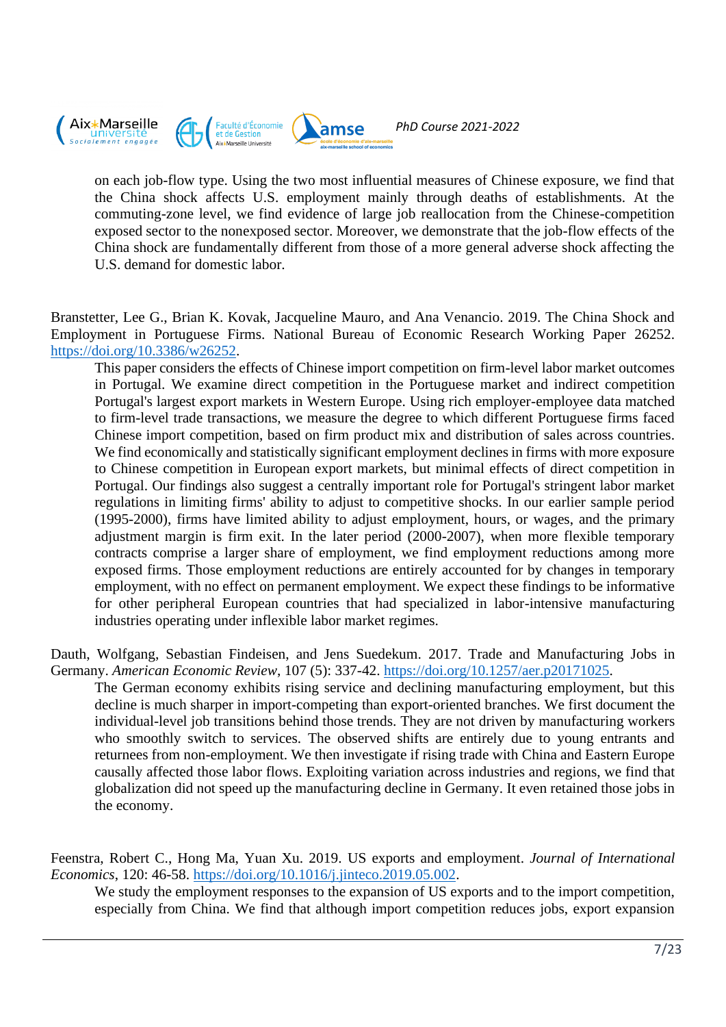

on each job-flow type. Using the two most influential measures of Chinese exposure, we find that the China shock affects U.S. employment mainly through deaths of establishments. At the commuting-zone level, we find evidence of large job reallocation from the Chinese-competition exposed sector to the nonexposed sector. Moreover, we demonstrate that the job-flow effects of the China shock are fundamentally different from those of a more general adverse shock affecting the U.S. demand for domestic labor.

Branstetter, Lee G., Brian K. Kovak, Jacqueline Mauro, and Ana Venancio. 2019. The China Shock and Employment in Portuguese Firms. National Bureau of Economic Research Working Paper 26252. [https://doi.org/10.3386/w26252.](https://doi.org/10.3386/w26252)

This paper considers the effects of Chinese import competition on firm-level labor market outcomes in Portugal. We examine direct competition in the Portuguese market and indirect competition Portugal's largest export markets in Western Europe. Using rich employer-employee data matched to firm-level trade transactions, we measure the degree to which different Portuguese firms faced Chinese import competition, based on firm product mix and distribution of sales across countries. We find economically and statistically significant employment declines in firms with more exposure to Chinese competition in European export markets, but minimal effects of direct competition in Portugal. Our findings also suggest a centrally important role for Portugal's stringent labor market regulations in limiting firms' ability to adjust to competitive shocks. In our earlier sample period (1995-2000), firms have limited ability to adjust employment, hours, or wages, and the primary adjustment margin is firm exit. In the later period (2000-2007), when more flexible temporary contracts comprise a larger share of employment, we find employment reductions among more exposed firms. Those employment reductions are entirely accounted for by changes in temporary employment, with no effect on permanent employment. We expect these findings to be informative for other peripheral European countries that had specialized in labor-intensive manufacturing industries operating under inflexible labor market regimes.

Dauth, Wolfgang, Sebastian Findeisen, and Jens Suedekum. 2017. Trade and Manufacturing Jobs in Germany. *American Economic Review*, 107 (5): 337-42. [https://doi.org/10.1257/aer.p20171025.](https://doi.org/10.1257/aer.p20171025)

The German economy exhibits rising service and declining manufacturing employment, but this decline is much sharper in import-competing than export-oriented branches. We first document the individual-level job transitions behind those trends. They are not driven by manufacturing workers who smoothly switch to services. The observed shifts are entirely due to young entrants and returnees from non-employment. We then investigate if rising trade with China and Eastern Europe causally affected those labor flows. Exploiting variation across industries and regions, we find that globalization did not speed up the manufacturing decline in Germany. It even retained those jobs in the economy.

Feenstra, Robert C., Hong Ma, Yuan Xu. 2019. US exports and employment. *Journal of International Economics*, 120: 46-58. [https://doi.org/10.1016/j.jinteco.2019.05.002.](https://doi.org/10.1016/j.jinteco.2019.05.002)

We study the employment responses to the expansion of US exports and to the import competition, especially from China. We find that although import competition reduces jobs, export expansion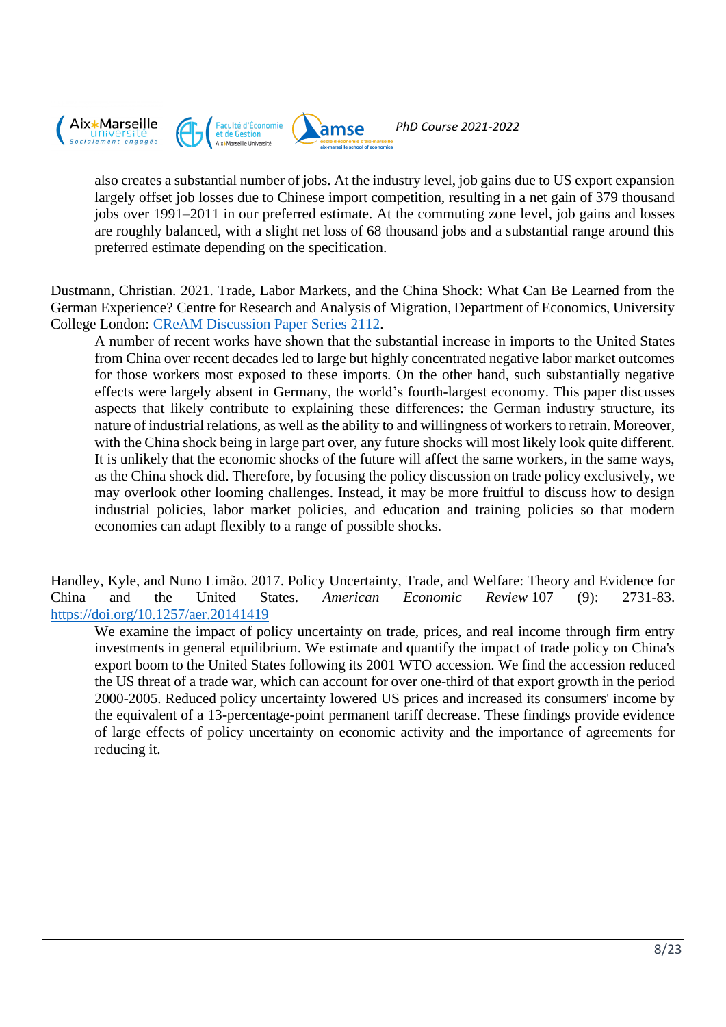

also creates a substantial number of jobs. At the industry level, job gains due to US export expansion largely offset job losses due to Chinese import competition, resulting in a net gain of 379 thousand jobs over 1991–2011 in our preferred estimate. At the commuting zone level, job gains and losses are roughly balanced, with a slight net loss of 68 thousand jobs and a substantial range around this preferred estimate depending on the specification.

Dustmann, Christian. 2021. [Trade, Labor Markets, and the China Shock: What Can Be Learned from the](https://ideas.repec.org/p/crm/wpaper/2112.html)  [German Experience?](https://ideas.repec.org/p/crm/wpaper/2112.html) Centre for Research and Analysis of Migration, Department of Economics, University College London: [CReAM Discussion Paper Series](https://ideas.repec.org/s/crm/wpaper.html) 2112.

A number of recent works have shown that the substantial increase in imports to the United States from China over recent decades led to large but highly concentrated negative labor market outcomes for those workers most exposed to these imports. On the other hand, such substantially negative effects were largely absent in Germany, the world's fourth-largest economy. This paper discusses aspects that likely contribute to explaining these differences: the German industry structure, its nature of industrial relations, as well as the ability to and willingness of workers to retrain. Moreover, with the China shock being in large part over, any future shocks will most likely look quite different. It is unlikely that the economic shocks of the future will affect the same workers, in the same ways, as the China shock did. Therefore, by focusing the policy discussion on trade policy exclusively, we may overlook other looming challenges. Instead, it may be more fruitful to discuss how to design industrial policies, labor market policies, and education and training policies so that modern economies can adapt flexibly to a range of possible shocks.

Handley, Kyle, and Nuno Limão. 2017. Policy Uncertainty, Trade, and Welfare: Theory and Evidence for China and the United States. *American Economic Review* 107 (9): 2731-83. <https://doi.org/10.1257/aer.20141419>

We examine the impact of policy uncertainty on trade, prices, and real income through firm entry investments in general equilibrium. We estimate and quantify the impact of trade policy on China's export boom to the United States following its 2001 WTO accession. We find the accession reduced the US threat of a trade war, which can account for over one-third of that export growth in the period 2000-2005. Reduced policy uncertainty lowered US prices and increased its consumers' income by the equivalent of a 13-percentage-point permanent tariff decrease. These findings provide evidence of large effects of policy uncertainty on economic activity and the importance of agreements for reducing it.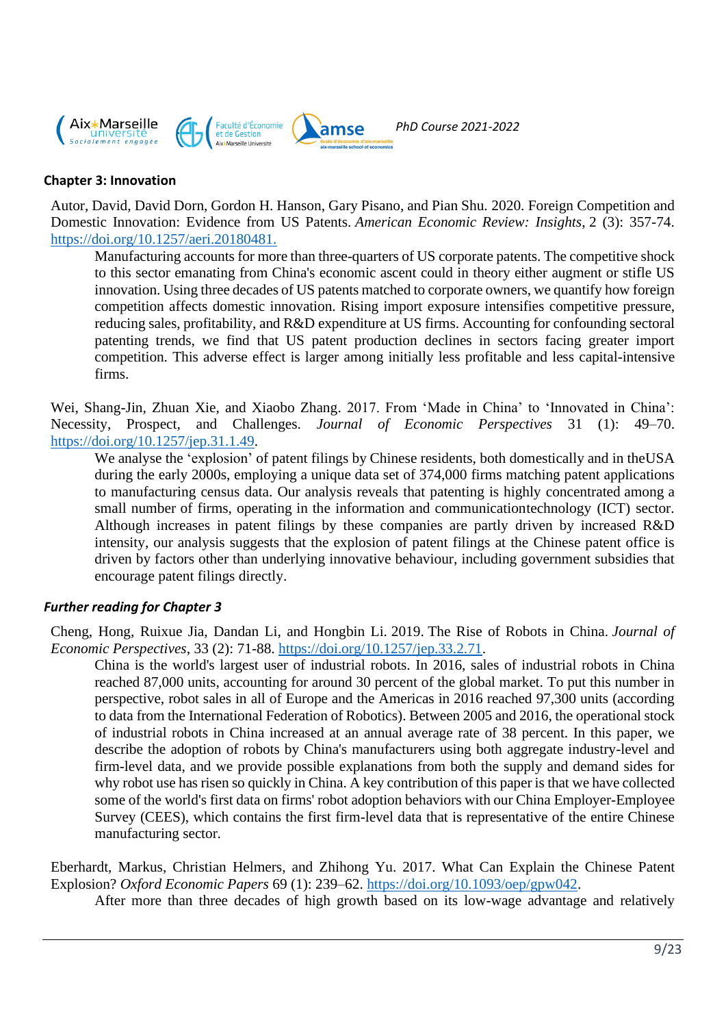

#### **Chapter 3: Innovation**

Autor, David, David Dorn, Gordon H. Hanson, Gary Pisano, and Pian Shu. 2020. Foreign Competition and Domestic Innovation: Evidence from US Patents. *American Economic Review: Insights*, 2 (3): 357-74. https://doi.org[/10.1257/aeri.20180481.](https://www.aeaweb.org/articles?id=10.1257/aeri.20180481)

Manufacturing accounts for more than three-quarters of US corporate patents. The competitive shock to this sector emanating from China's economic ascent could in theory either augment or stifle US innovation. Using three decades of US patents matched to corporate owners, we quantify how foreign competition affects domestic innovation. Rising import exposure intensifies competitive pressure, reducing sales, profitability, and R&D expenditure at US firms. Accounting for confounding sectoral patenting trends, we find that US patent production declines in sectors facing greater import competition. This adverse effect is larger among initially less profitable and less capital-intensive firms.

Wei, Shang-Jin, Zhuan Xie, and Xiaobo Zhang. 2017. From 'Made in China' to 'Innovated in China': Necessity, Prospect, and Challenges. *Journal of Economic Perspectives* 31 (1): 49–70. [https://doi.org/10.1257/jep.31.1.49.](https://doi.org/10.1257/jep.31.1.49)

We analyse the 'explosion' of patent filings by Chinese residents, both domestically and in theUSA during the early 2000s, employing a unique data set of 374,000 firms matching patent applications to manufacturing census data. Our analysis reveals that patenting is highly concentrated among a small number of firms, operating in the information and communicationtechnology (ICT) sector. Although increases in patent filings by these companies are partly driven by increased R&D intensity, our analysis suggests that the explosion of patent filings at the Chinese patent office is driven by factors other than underlying innovative behaviour, including government subsidies that encourage patent filings directly.

#### *Further reading for Chapter 3*

Cheng, Hong, Ruixue Jia, Dandan Li, and Hongbin Li. 2019. The Rise of Robots in China. *Journal of Economic Perspectives*, 33 (2): 71-88. [https://doi.org/10.1257/jep.33.2.71.](https://doi.org/10.1257/jep.33.2.71)

China is the world's largest user of industrial robots. In 2016, sales of industrial robots in China reached 87,000 units, accounting for around 30 percent of the global market. To put this number in perspective, robot sales in all of Europe and the Americas in 2016 reached 97,300 units (according to data from the International Federation of Robotics). Between 2005 and 2016, the operational stock of industrial robots in China increased at an annual average rate of 38 percent. In this paper, we describe the adoption of robots by China's manufacturers using both aggregate industry-level and firm-level data, and we provide possible explanations from both the supply and demand sides for why robot use has risen so quickly in China. A key contribution of this paper is that we have collected some of the world's first data on firms' robot adoption behaviors with our China Employer-Employee Survey (CEES), which contains the first firm-level data that is representative of the entire Chinese manufacturing sector.

Eberhardt, Markus, Christian Helmers, and Zhihong Yu. 2017. What Can Explain the Chinese Patent Explosion? *Oxford Economic Papers* 69 (1): 239–62. [https://doi.org/10.1093/oep/gpw042.](https://doi.org/10.1093/oep/gpw042)

After more than three decades of high growth based on its low-wage advantage and relatively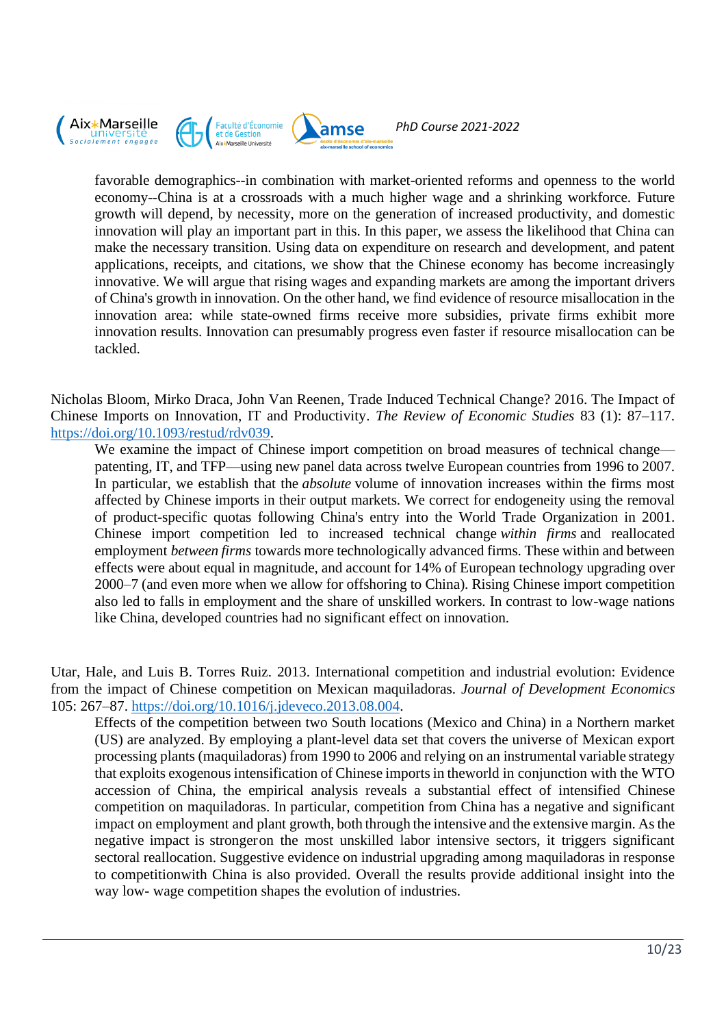

favorable demographics--in combination with market-oriented reforms and openness to the world economy--China is at a crossroads with a much higher wage and a shrinking workforce. Future growth will depend, by necessity, more on the generation of increased productivity, and domestic innovation will play an important part in this. In this paper, we assess the likelihood that China can make the necessary transition. Using data on expenditure on research and development, and patent applications, receipts, and citations, we show that the Chinese economy has become increasingly innovative. We will argue that rising wages and expanding markets are among the important drivers of China's growth in innovation. On the other hand, we find evidence of resource misallocation in the innovation area: while state-owned firms receive more subsidies, private firms exhibit more innovation results. Innovation can presumably progress even faster if resource misallocation can be tackled.

Nicholas Bloom, Mirko Draca, John Van Reenen, Trade Induced Technical Change? 2016. The Impact of Chinese Imports on Innovation, IT and Productivity. *The Review of Economic Studies* 83 (1): 87–117. [https://doi.org/10.1093/restud/rdv039.](https://doi.org/10.1093/restud/rdv039)

We examine the impact of Chinese import competition on broad measures of technical change patenting, IT, and TFP—using new panel data across twelve European countries from 1996 to 2007. In particular, we establish that the *absolute* volume of innovation increases within the firms most affected by Chinese imports in their output markets. We correct for endogeneity using the removal of product-specific quotas following China's entry into the World Trade Organization in 2001. Chinese import competition led to increased technical change *within firms* and reallocated employment *between firms* towards more technologically advanced firms. These within and between effects were about equal in magnitude, and account for 14% of European technology upgrading over 2000–7 (and even more when we allow for offshoring to China). Rising Chinese import competition also led to falls in employment and the share of unskilled workers. In contrast to low-wage nations like China, developed countries had no significant effect on innovation.

Utar, Hale, and Luis B. Torres Ruiz. 2013. International competition and industrial evolution: Evidence from the impact of Chinese competition on Mexican maquiladoras. *Journal of Development Economics* 105: 267–87. [https://doi.org/10.1016/j.jdeveco.2013.08.004.](https://doi.org/10.1016/j.jdeveco.2013.08.004)

Effects of the competition between two South locations (Mexico and China) in a Northern market (US) are analyzed. By employing a plant-level data set that covers the universe of Mexican export processing plants (maquiladoras) from 1990 to 2006 and relying on an instrumental variable strategy that exploits exogenous intensification of Chinese importsin theworld in conjunction with the WTO accession of China, the empirical analysis reveals a substantial effect of intensified Chinese competition on maquiladoras. In particular, competition from China has a negative and significant impact on employment and plant growth, both through the intensive and the extensive margin. Asthe negative impact is strongeron the most unskilled labor intensive sectors, it triggers significant sectoral reallocation. Suggestive evidence on industrial upgrading among maquiladoras in response to competitionwith China is also provided. Overall the results provide additional insight into the way low- wage competition shapes the evolution of industries.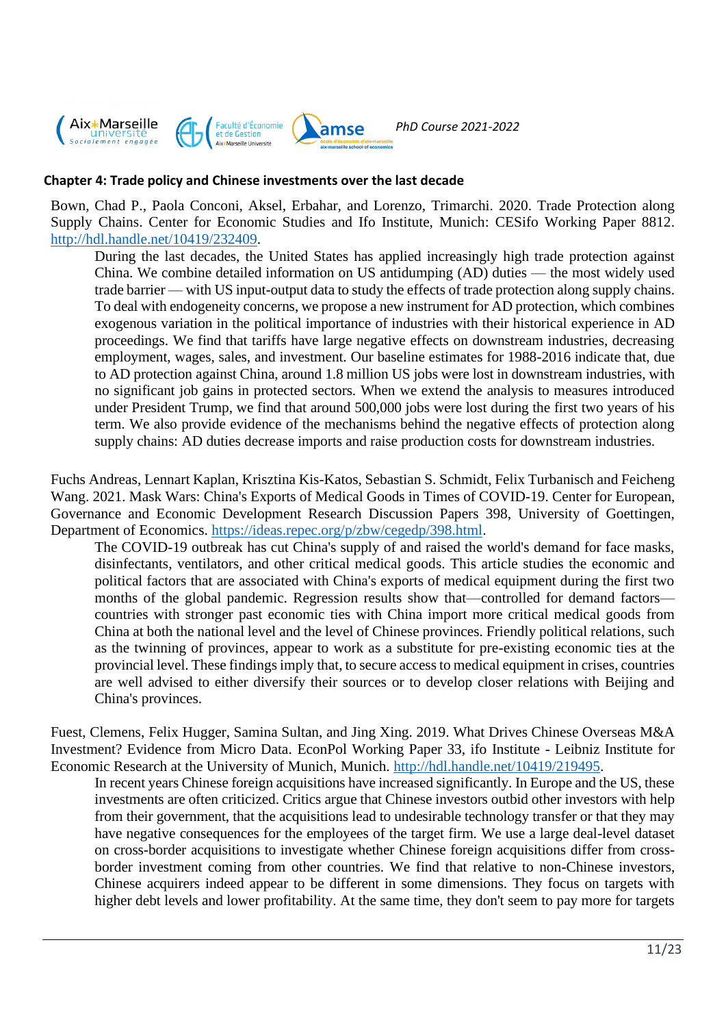

#### **Chapter 4: Trade policy and Chinese investments over the last decade**

Bown, Chad P., Paola Conconi, Aksel, Erbahar, and Lorenzo, Trimarchi. 2020. Trade Protection along Supply Chains. Center for Economic Studies and Ifo Institute, Munich: CESifo Working Paper 8812. [http://hdl.handle.net/10419/232409.](http://hdl.handle.net/10419/232409)

During the last decades, the United States has applied increasingly high trade protection against China. We combine detailed information on US antidumping (AD) duties — the most widely used trade barrier — with US input-output data to study the effects of trade protection along supply chains. To deal with endogeneity concerns, we propose a new instrument for AD protection, which combines exogenous variation in the political importance of industries with their historical experience in AD proceedings. We find that tariffs have large negative effects on downstream industries, decreasing employment, wages, sales, and investment. Our baseline estimates for 1988-2016 indicate that, due to AD protection against China, around 1.8 million US jobs were lost in downstream industries, with no significant job gains in protected sectors. When we extend the analysis to measures introduced under President Trump, we find that around 500,000 jobs were lost during the first two years of his term. We also provide evidence of the mechanisms behind the negative effects of protection along supply chains: AD duties decrease imports and raise production costs for downstream industries.

Fuchs [Andreas,](http://www.andreas-fuchs.net/) [Lennart Kaplan,](https://sites.google.com/view/lennart-kaplan/home) [Krisztina Kis-Katos,](https://www.uni-goettingen.de/de/krisztina+kis-katos/545784.html) [Sebastian S. Schmidt,](https://www.uni-goettingen.de/en/614394.html) [Felix Turbanisch](https://www.uni-goettingen.de/en/614391.html) an[d Feicheng](https://www.uni-goettingen.de/de/570296.html)  [Wang.](https://www.uni-goettingen.de/de/570296.html) 2021. Mask Wars: China's Exports of Medical Goods in Times of COVID-19. Center for European, Governance and Economic Development Research Discussion Papers 398, University of Goettingen, Department of Economics. [https://ideas.repec.org/p/zbw/cegedp/398.html.](https://ideas.repec.org/p/zbw/cegedp/398.html)

The COVID-19 outbreak has cut China's supply of and raised the world's demand for face masks, disinfectants, ventilators, and other critical medical goods. This article studies the economic and political factors that are associated with China's exports of medical equipment during the first two months of the global pandemic. Regression results show that—controlled for demand factors countries with stronger past economic ties with China import more critical medical goods from China at both the national level and the level of Chinese provinces. Friendly political relations, such as the twinning of provinces, appear to work as a substitute for pre-existing economic ties at the provincial level. These findings imply that, to secure access to medical equipment in crises, countries are well advised to either diversify their sources or to develop closer relations with Beijing and China's provinces.

Fuest, Clemens, Felix Hugger, Samina Sultan, and Jing Xing. 2019. What Drives Chinese Overseas M&A Investment? Evidence from Micro Data. EconPol Working Paper 33, ifo Institute - Leibniz Institute for Economic Research at the University of Munich, Munich. [http://hdl.handle.net/10419/219495.](http://hdl.handle.net/10419/219495)

In recent years Chinese foreign acquisitions have increased significantly. In Europe and the US, these investments are often criticized. Critics argue that Chinese investors outbid other investors with help from their government, that the acquisitions lead to undesirable technology transfer or that they may have negative consequences for the employees of the target firm. We use a large deal-level dataset on cross-border acquisitions to investigate whether Chinese foreign acquisitions differ from crossborder investment coming from other countries. We find that relative to non-Chinese investors, Chinese acquirers indeed appear to be different in some dimensions. They focus on targets with higher debt levels and lower profitability. At the same time, they don't seem to pay more for targets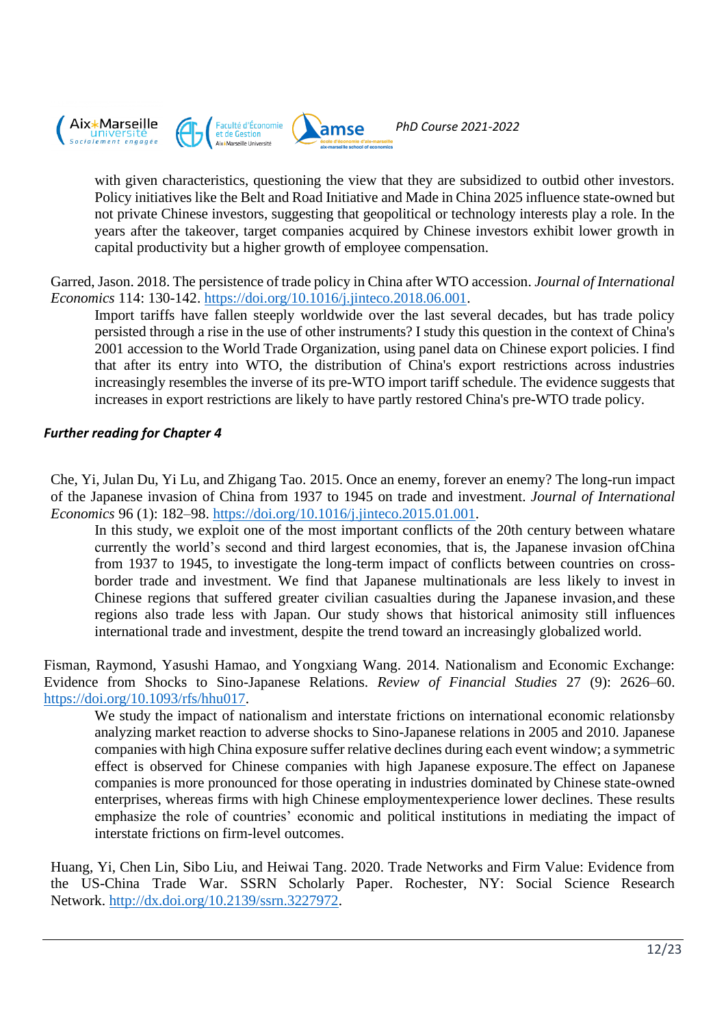

with given characteristics, questioning the view that they are subsidized to outbid other investors. Policy initiatives like the Belt and Road Initiative and Made in China 2025 influence state-owned but not private Chinese investors, suggesting that geopolitical or technology interests play a role. In the years after the takeover, target companies acquired by Chinese investors exhibit lower growth in capital productivity but a higher growth of employee compensation.

Garred, Jason. 2018. The persistence of trade policy in China after WTO accession. *Journal of International Economics* 114: 130-142. [https://doi.org/10.1016/j.jinteco.2018.06.001.](https://doi.org/10.1016/j.jinteco.2018.06.001)

Import tariffs have fallen steeply worldwide over the last several decades, but has trade policy persisted through a rise in the use of other instruments? I study this question in the context of China's 2001 accession to the World Trade Organization, using panel data on Chinese export policies. I find that after its entry into WTO, the distribution of China's export restrictions across industries increasingly resembles the inverse of its pre-WTO import tariff schedule. The evidence suggests that increases in export restrictions are likely to have partly restored China's pre-WTO trade policy.

# *Further reading for Chapter 4*

Che, Yi, Julan Du, Yi Lu, and Zhigang Tao. 2015. Once an enemy, forever an enemy? The long-run impact of the Japanese invasion of China from 1937 to 1945 on trade and investment. *Journal of International Economics* 96 (1): 182–98. [https://doi.org/10.1016/j.jinteco.2015.01.001.](https://doi.org/10.1016/j.jinteco.2015.01.001)

In this study, we exploit one of the most important conflicts of the 20th century between whatare currently the world's second and third largest economies, that is, the Japanese invasion ofChina from 1937 to 1945, to investigate the long-term impact of conflicts between countries on crossborder trade and investment. We find that Japanese multinationals are less likely to invest in Chinese regions that suffered greater civilian casualties during the Japanese invasion,and these regions also trade less with Japan. Our study shows that historical animosity still influences international trade and investment, despite the trend toward an increasingly globalized world.

Fisman, Raymond, Yasushi Hamao, and Yongxiang Wang. 2014. Nationalism and Economic Exchange: Evidence from Shocks to Sino-Japanese Relations. *Review of Financial Studies* 27 (9): 2626–60. [https://doi.org/10.1093/rfs/hhu017.](https://doi.org/10.1093/rfs/hhu017)

We study the impact of nationalism and interstate frictions on international economic relationsby analyzing market reaction to adverse shocks to Sino-Japanese relations in 2005 and 2010. Japanese companies with high China exposure suffer relative declines during each event window; a symmetric effect is observed for Chinese companies with high Japanese exposure.The effect on Japanese companies is more pronounced for those operating in industries dominated by Chinese state-owned enterprises, whereas firms with high Chinese employmentexperience lower declines. These results emphasize the role of countries' economic and political institutions in mediating the impact of interstate frictions on firm-level outcomes.

Huang, Yi, Chen Lin, Sibo Liu, and Heiwai Tang. 2020. Trade Networks and Firm Value: Evidence from the US-China Trade War. SSRN Scholarly Paper. Rochester, NY: Social Science Research Network. [http://dx.doi.org/10.2139/ssrn.3227972.](http://dx.doi.org/10.2139/ssrn.3227972)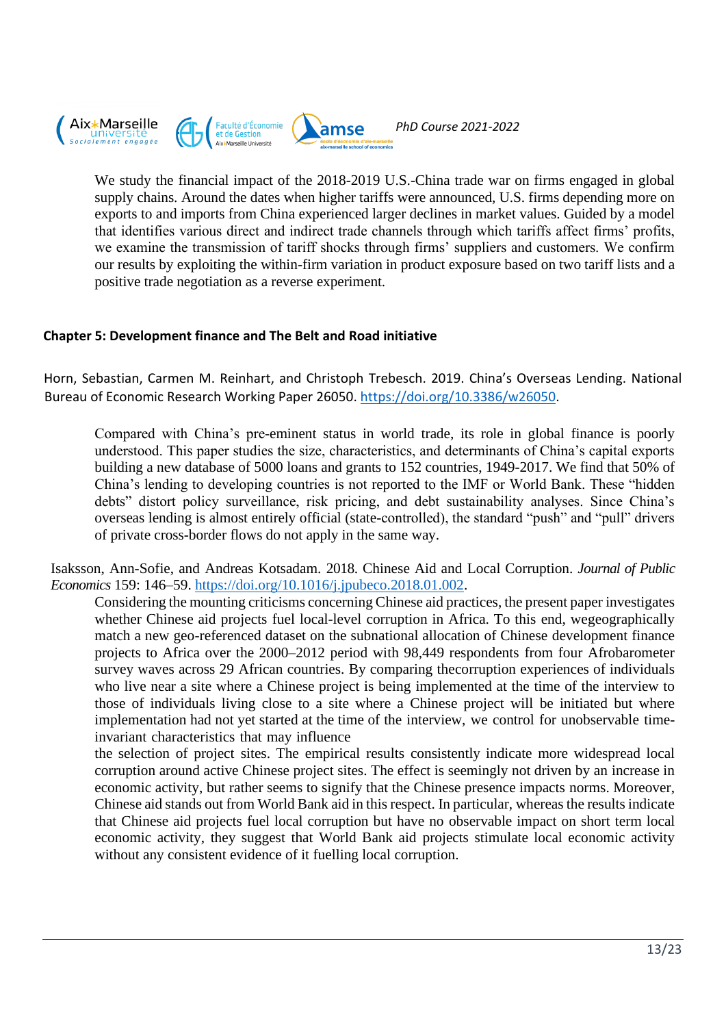

We study the financial impact of the 2018-2019 U.S.-China trade war on firms engaged in global supply chains. Around the dates when higher tariffs were announced, U.S. firms depending more on exports to and imports from China experienced larger declines in market values. Guided by a model

that identifies various direct and indirect trade channels through which tariffs affect firms' profits, we examine the transmission of tariff shocks through firms' suppliers and customers. We confirm our results by exploiting the within-firm variation in product exposure based on two tariff lists and a positive trade negotiation as a reverse experiment.

# **Chapter 5: Development finance and The Belt and Road initiative**

Horn, Sebastian, Carmen M. Reinhart, and Christoph Trebesch. 2019. China's Overseas Lending. National Bureau of Economic Research Working Paper 26050. [https://doi.org/10.3386/w26050.](https://doi.org/10.3386/w26050)

Compared with China's pre-eminent status in world trade, its role in global finance is poorly understood. This paper studies the size, characteristics, and determinants of China's capital exports building a new database of 5000 loans and grants to 152 countries, 1949-2017. We find that 50% of China's lending to developing countries is not reported to the IMF or World Bank. These "hidden debts" distort policy surveillance, risk pricing, and debt sustainability analyses. Since China's overseas lending is almost entirely official (state-controlled), the standard "push" and "pull" drivers of private cross-border flows do not apply in the same way.

Isaksson, Ann-Sofie, and Andreas Kotsadam. 2018. Chinese Aid and Local Corruption. *Journal of Public Economics* 159: 146–59. [https://doi.org/10.1016/j.jpubeco.2018.01.002.](https://doi.org/10.1016/j.jpubeco.2018.01.002)

Considering the mounting criticisms concerning Chinese aid practices, the present paper investigates whether Chinese aid projects fuel local-level corruption in Africa. To this end, wegeographically match a new geo-referenced dataset on the subnational allocation of Chinese development finance projects to Africa over the 2000–2012 period with 98,449 respondents from four Afrobarometer survey waves across 29 African countries. By comparing thecorruption experiences of individuals who live near a site where a Chinese project is being implemented at the time of the interview to those of individuals living close to a site where a Chinese project will be initiated but where implementation had not yet started at the time of the interview, we control for unobservable timeinvariant characteristics that may influence

the selection of project sites. The empirical results consistently indicate more widespread local corruption around active Chinese project sites. The effect is seemingly not driven by an increase in economic activity, but rather seems to signify that the Chinese presence impacts norms. Moreover, Chinese aid stands out from World Bank aid in this respect. In particular, whereas the results indicate that Chinese aid projects fuel local corruption but have no observable impact on short term local economic activity, they suggest that World Bank aid projects stimulate local economic activity without any consistent evidence of it fuelling local corruption.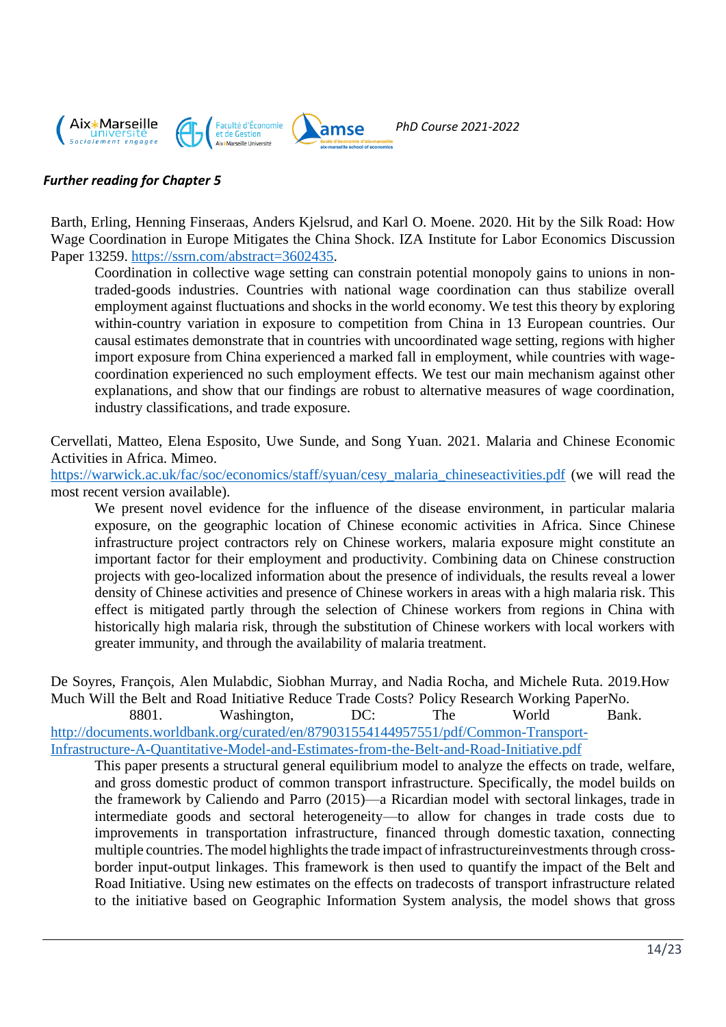

## *Further reading for Chapter 5*

Barth, Erling, Henning Finseraas, Anders Kjelsrud, and Karl O. Moene. 2020. Hit by the Silk Road: How Wage Coordination in Europe Mitigates the China Shock. IZA Institute for Labor Economics Discussion Paper 13259. [https://ssrn.com/abstract=3602435.](https://ssrn.com/abstract=3602435)

Coordination in collective wage setting can constrain potential monopoly gains to unions in nontraded-goods industries. Countries with national wage coordination can thus stabilize overall employment against fluctuations and shocks in the world economy. We test this theory by exploring within-country variation in exposure to competition from China in 13 European countries. Our causal estimates demonstrate that in countries with uncoordinated wage setting, regions with higher import exposure from China experienced a marked fall in employment, while countries with wagecoordination experienced no such employment effects. We test our main mechanism against other explanations, and show that our findings are robust to alternative measures of wage coordination, industry classifications, and trade exposure.

Cervellati, Matteo, Elena Esposito, Uwe Sunde, and Song Yuan. 2021. Malaria and Chinese Economic Activities in Africa. [Mimeo.](https://warwick.ac.uk/fac/soc/economics/staff/syuan/cesy_malaria_chineseactivities_final.pdf)

[https://warwick.ac.uk/fac/soc/economics/staff/syuan/cesy\\_malaria\\_chineseactivities.pdf](https://warwick.ac.uk/fac/soc/economics/staff/syuan/cesy_malaria_chineseactivities.pdf) (we will read the most recent version available).

We present novel evidence for the influence of the disease environment, in particular malaria exposure, on the geographic location of Chinese economic activities in Africa. Since Chinese infrastructure project contractors rely on Chinese workers, malaria exposure might constitute an important factor for their employment and productivity. Combining data on Chinese construction projects with geo-localized information about the presence of individuals, the results reveal a lower density of Chinese activities and presence of Chinese workers in areas with a high malaria risk. This effect is mitigated partly through the selection of Chinese workers from regions in China with historically high malaria risk, through the substitution of Chinese workers with local workers with greater immunity, and through the availability of malaria treatment.

De Soyres, François, Alen Mulabdic, Siobhan Murray, and Nadia Rocha, and Michele Ruta. 2019.How Much Will the Belt and Road Initiative Reduce Trade Costs? Policy Research Working PaperNo.

8801. Washington, DC: The World Bank. [http://documents.worldbank.org/curated/en/879031554144957551/pdf/Common-Transport-](http://documents.worldbank.org/curated/en/879031554144957551/pdf/Common-Transport-Infrastructure-A-Quantitative-Model-and-Estimates-from-the-Belt-and-Road-Initiative.pdf)[Infrastructure-A-Quantitative-Model-and-Estimates-from-the-Belt-and-Road-Initiative.pdf](http://documents.worldbank.org/curated/en/879031554144957551/pdf/Common-Transport-Infrastructure-A-Quantitative-Model-and-Estimates-from-the-Belt-and-Road-Initiative.pdf)

This paper presents a structural general equilibrium model to analyze the effects on trade, welfare, and gross domestic product of common transport infrastructure. Specifically, the model builds on the framework by Caliendo and Parro (2015)—a Ricardian model with sectoral linkages, trade in intermediate goods and sectoral heterogeneity—to allow for changes in trade costs due to improvements in transportation infrastructure, financed through domestic taxation, connecting multiple countries. The model highlights the trade impact of infrastructure investments through crossborder input-output linkages. This framework is then used to quantify the impact of the Belt and Road Initiative. Using new estimates on the effects on tradecosts of transport infrastructure related to the initiative based on Geographic Information System analysis, the model shows that gross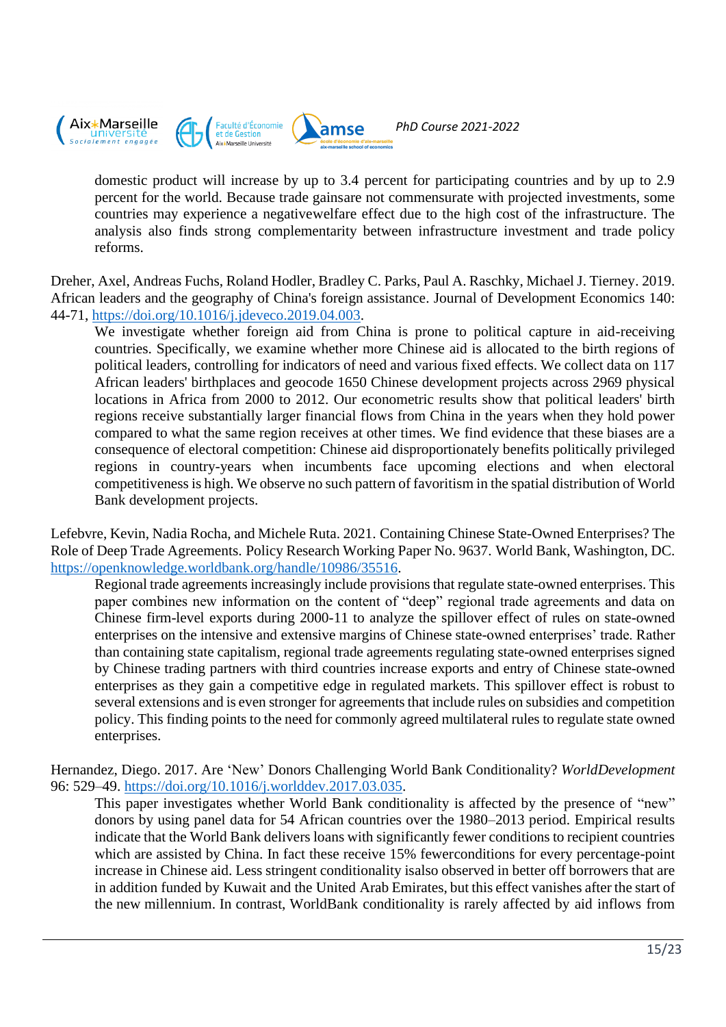

domestic product will increase by up to 3.4 percent for participating countries and by up to 2.9 percent for the world. Because trade gainsare not commensurate with projected investments, some countries may experience a negativewelfare effect due to the high cost of the infrastructure. The analysis also finds strong complementarity between infrastructure investment and trade policy reforms.

Dreher, Axel, Andreas Fuchs, Roland Hodler, Bradley C. Parks, Paul A. Raschky, Michael J. Tierney. 2019. African leaders and the geography of China's foreign assistance. Journal of Development Economics 140: 44-71, [https://doi.org/10.1016/j.jdeveco.2019.04.003.](https://doi.org/10.1016/j.jdeveco.2019.04.003)

We investigate whether foreign aid from China is prone to political capture in aid-receiving countries. Specifically, we examine whether more Chinese aid is allocated to the birth regions of political leaders, controlling for indicators of need and various fixed effects. We collect data on 117 African leaders' birthplaces and geocode 1650 Chinese development projects across 2969 physical locations in Africa from 2000 to 2012. Our econometric results show that political leaders' birth regions receive substantially larger financial flows from China in the years when they hold power compared to what the same region receives at other times. We find evidence that these biases are a consequence of electoral competition: Chinese aid disproportionately benefits politically privileged regions in country-years when incumbents face upcoming elections and when electoral competitiveness is high. We observe no such pattern of favoritism in the spatial distribution of World Bank development projects.

Lefebvre, Kevin, Nadia Rocha, and Michele Ruta. 2021. Containing Chinese State-Owned Enterprises? The Role of Deep Trade Agreements. Policy Research Working Paper No. 9637. World Bank, Washington, DC. [https://openknowledge.worldbank.org/handle/10986/35516.](https://openknowledge.worldbank.org/handle/10986/35516)

Regional trade agreements increasingly include provisions that regulate state-owned enterprises. This paper combines new information on the content of "deep" regional trade agreements and data on Chinese firm-level exports during 2000-11 to analyze the spillover effect of rules on state-owned enterprises on the intensive and extensive margins of Chinese state-owned enterprises' trade. Rather than containing state capitalism, regional trade agreements regulating state-owned enterprises signed by Chinese trading partners with third countries increase exports and entry of Chinese state-owned enterprises as they gain a competitive edge in regulated markets. This spillover effect is robust to several extensions and is even stronger for agreements that include rules on subsidies and competition policy. This finding points to the need for commonly agreed multilateral rules to regulate state owned enterprises.

Hernandez, Diego. 2017. Are 'New' Donors Challenging World Bank Conditionality? *WorldDevelopment*  96: 529–49. [https://doi.org/10.1016/j.worlddev.2017.03.035.](https://doi.org/10.1016/j.worlddev.2017.03.035)

This paper investigates whether World Bank conditionality is affected by the presence of "new" donors by using panel data for 54 African countries over the 1980–2013 period. Empirical results indicate that the World Bank delivers loans with significantly fewer conditions to recipient countries which are assisted by China. In fact these receive 15% fewerconditions for every percentage-point increase in Chinese aid. Less stringent conditionality isalso observed in better off borrowers that are in addition funded by Kuwait and the United Arab Emirates, but this effect vanishes after the start of the new millennium. In contrast, WorldBank conditionality is rarely affected by aid inflows from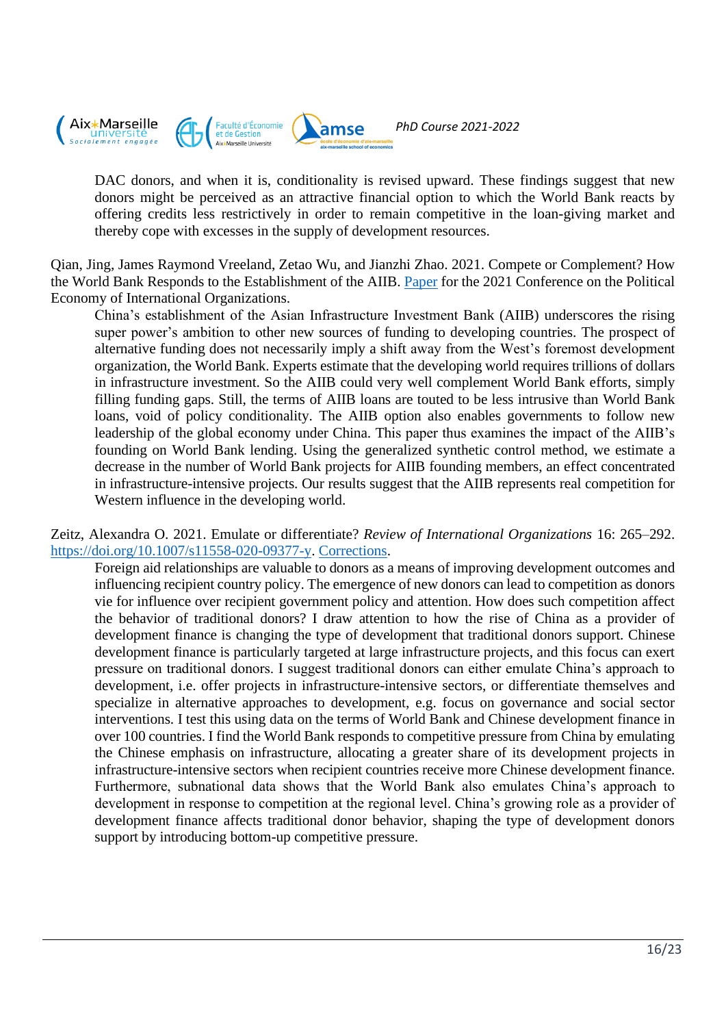

DAC donors, and when it is, conditionality is revised upward. These findings suggest that new donors might be perceived as an attractive financial option to which the World Bank reacts by offering credits less restrictively in order to remain competitive in the loan-giving market and thereby cope with excesses in the supply of development resources.

Qian, Jing, James Raymond Vreeland, Zetao Wu, and Jianzhi Zhao. 2021. Compete or Complement? How the World Bank Responds to the Establishment of the AIIB. [Paper](https://www.peio.me/wp-content/uploads/2021/papers/PEIOo21_paper_47.pdf) for the 2021 Conference on the Political Economy of International Organizations.

China's establishment of the Asian Infrastructure Investment Bank (AIIB) underscores the rising super power's ambition to other new sources of funding to developing countries. The prospect of alternative funding does not necessarily imply a shift away from the West's foremost development organization, the World Bank. Experts estimate that the developing world requires trillions of dollars in infrastructure investment. So the AIIB could very well complement World Bank efforts, simply filling funding gaps. Still, the terms of AIIB loans are touted to be less intrusive than World Bank loans, void of policy conditionality. The AIIB option also enables governments to follow new leadership of the global economy under China. This paper thus examines the impact of the AIIB's founding on World Bank lending. Using the generalized synthetic control method, we estimate a decrease in the number of World Bank projects for AIIB founding members, an effect concentrated in infrastructure-intensive projects. Our results suggest that the AIIB represents real competition for Western influence in the developing world.

Zeitz, Alexandra O. 2021. Emulate or differentiate? *Review of International Organizations* 16: 265–292. [https://doi.org/10.1007/s11558-020-09377-y. Corrections.](https://doi.org/10.1007/s11558-020-09377-y)

Foreign aid relationships are valuable to donors as a means of improving development outcomes and influencing recipient country policy. The emergence of new donors can lead to competition as donors vie for influence over recipient government policy and attention. How does such competition affect the behavior of traditional donors? I draw attention to how the rise of China as a provider of development finance is changing the type of development that traditional donors support. Chinese development finance is particularly targeted at large infrastructure projects, and this focus can exert pressure on traditional donors. I suggest traditional donors can either emulate China's approach to development, i.e. offer projects in infrastructure-intensive sectors, or differentiate themselves and specialize in alternative approaches to development, e.g. focus on governance and social sector interventions. I test this using data on the terms of World Bank and Chinese development finance in over 100 countries. I find the World Bank responds to competitive pressure from China by emulating the Chinese emphasis on infrastructure, allocating a greater share of its development projects in infrastructure-intensive sectors when recipient countries receive more Chinese development finance. Furthermore, subnational data shows that the World Bank also emulates China's approach to development in response to competition at the regional level. China's growing role as a provider of development finance affects traditional donor behavior, shaping the type of development donors support by introducing bottom-up competitive pressure.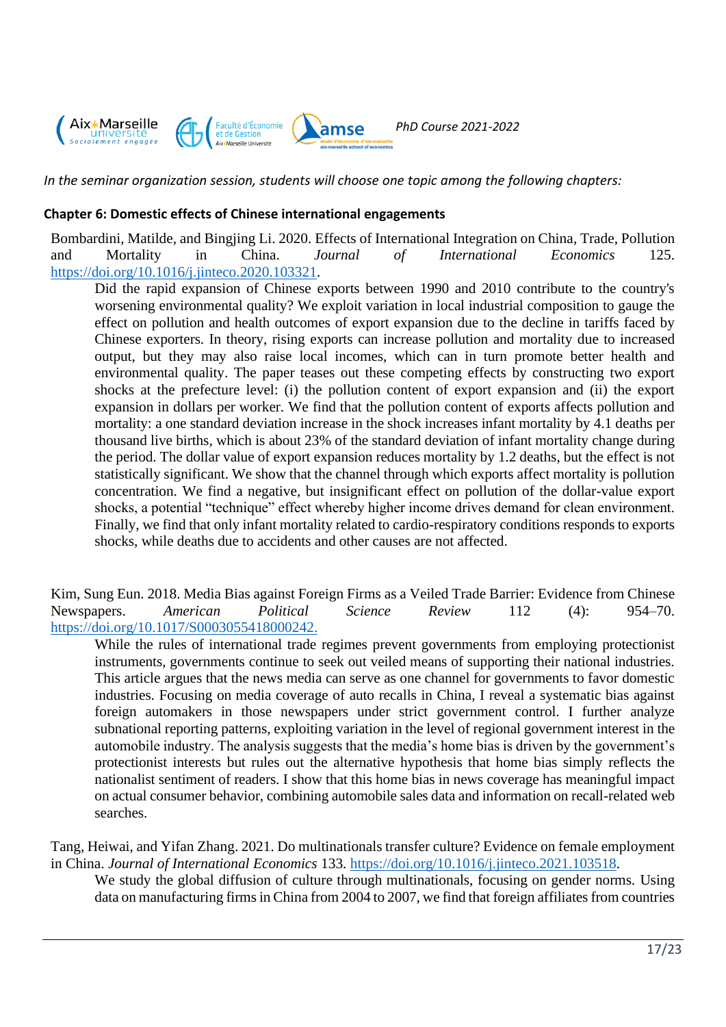

*In the seminar organization session, students will choose one topic among the following chapters:*

#### **Chapter 6: Domestic effects of Chinese international engagements**

Bombardini, Matilde, and Bingjing Li. 2020. Effects of International Integration on China, Trade, Pollution and Mortality in China. *Journal of International Economics* 125. [https://doi.org/10.1016/j.jinteco.2020.103321.](https://doi.org/10.1016/j.jinteco.2020.103321)

Did the rapid expansion of Chinese exports between 1990 and 2010 contribute to the country's worsening environmental quality? We exploit variation in local industrial composition to gauge the effect on pollution and health outcomes of export expansion due to the decline in tariffs faced by Chinese exporters. In theory, rising exports can increase pollution and mortality due to increased output, but they may also raise local incomes, which can in turn promote better health and environmental quality. The paper teases out these competing effects by constructing two export shocks at the prefecture level: (i) the pollution content of export expansion and (ii) the export expansion in dollars per worker. We find that the pollution content of exports affects pollution and mortality: a one standard deviation increase in the shock increases infant mortality by 4.1 deaths per thousand live births, which is about 23% of the standard deviation of infant mortality change during the period. The dollar value of export expansion reduces mortality by 1.2 deaths, but the effect is not statistically significant. We show that the channel through which exports affect mortality is pollution concentration. We find a negative, but insignificant effect on pollution of the dollar-value export shocks, a potential "technique" effect whereby higher income drives demand for clean environment. Finally, we find that only infant mortality related to cardio-respiratory conditions responds to exports shocks, while deaths due to accidents and other causes are not affected.

Kim, Sung Eun. 2018. Media Bias against Foreign Firms as a Veiled Trade Barrier: Evidence from Chinese Newspapers. *American Political Science Review* 112 (4): 954–70. [https://doi.org/10.1017/S0003055418000242.](https://doi.org/10.1017/S0003055418000242)

While the rules of international trade regimes prevent governments from employing protectionist instruments, governments continue to seek out veiled means of supporting their national industries. This article argues that the news media can serve as one channel for governments to favor domestic industries. Focusing on media coverage of auto recalls in China, I reveal a systematic bias against foreign automakers in those newspapers under strict government control. I further analyze subnational reporting patterns, exploiting variation in the level of regional government interest in the automobile industry. The analysis suggests that the media's home bias is driven by the government's protectionist interests but rules out the alternative hypothesis that home bias simply reflects the nationalist sentiment of readers. I show that this home bias in news coverage has meaningful impact on actual consumer behavior, combining automobile sales data and information on recall-related web searches.

Tang, Heiwai, and Yifan Zhang. 2021. Do multinationals transfer culture? Evidence on female employment in China. *Journal of International Economics* 133. [https://doi.org/10.1016/j.jinteco.2021.103518.](https://doi.org/10.1016/j.jinteco.2021.103518)

We study the global diffusion of culture through multinationals, focusing on gender norms. Using data on manufacturing firms in China from 2004 to 2007, we find that foreign affiliates from countries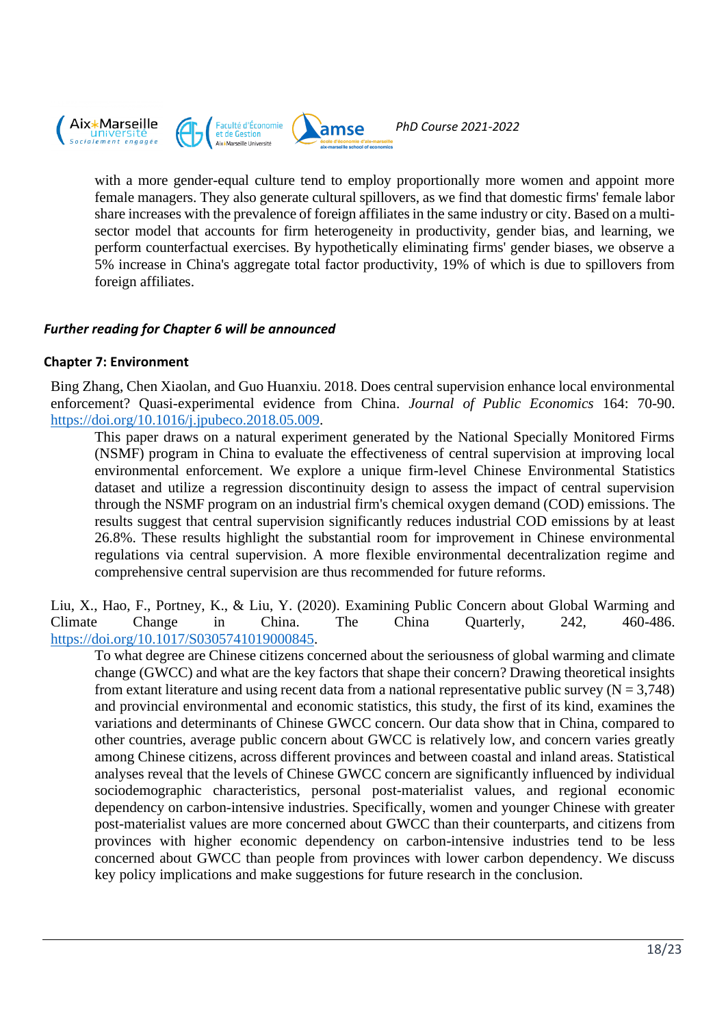

with a more gender-equal culture tend to employ proportionally more women and appoint more female managers. They also generate cultural spillovers, as we find that domestic firms' female labor share increases with the prevalence of foreign affiliates in the same industry or city. Based on a multisector model that accounts for firm heterogeneity in productivity, gender bias, and learning, we perform counterfactual exercises. By hypothetically eliminating firms' gender biases, we observe a 5% increase in China's aggregate total factor productivity, 19% of which is due to spillovers from foreign affiliates.

## *Further reading for Chapter 6 will be announced*

#### **Chapter 7: Environment**

Bing Zhang, Chen Xiaolan, and Guo Huanxiu. 2018. Does central supervision enhance local environmental enforcement? Quasi-experimental evidence from China. *Journal of Public Economics* 164: 70-90. [https://doi.org/10.1016/j.jpubeco.2018.05.009.](https://doi.org/10.1016/j.jpubeco.2018.05.009)

This paper draws on a natural experiment generated by the National Specially Monitored Firms (NSMF) program in China to evaluate the effectiveness of central supervision at improving local environmental enforcement. We explore a unique firm-level Chinese Environmental Statistics dataset and utilize a regression discontinuity design to assess the impact of central supervision through the NSMF program on an industrial firm's chemical oxygen demand (COD) emissions. The results suggest that central supervision significantly reduces industrial COD emissions by at least 26.8%. These results highlight the substantial room for improvement in Chinese environmental regulations via central supervision. A more flexible environmental decentralization regime and comprehensive central supervision are thus recommended for future reforms.

Liu, X., Hao, F., Portney, K., & Liu, Y. (2020). Examining Public Concern about Global Warming and Climate Change in China. The China Quarterly, 242, 460-486. [https://doi.org/10.1017/S0305741019000845.](https://doi.org/10.1017/S0305741019000845)

To what degree are Chinese citizens concerned about the seriousness of global warming and climate change (GWCC) and what are the key factors that shape their concern? Drawing theoretical insights from extant literature and using recent data from a national representative public survey ( $N = 3,748$ ) and provincial environmental and economic statistics, this study, the first of its kind, examines the variations and determinants of Chinese GWCC concern. Our data show that in China, compared to other countries, average public concern about GWCC is relatively low, and concern varies greatly among Chinese citizens, across different provinces and between coastal and inland areas. Statistical analyses reveal that the levels of Chinese GWCC concern are significantly influenced by individual sociodemographic characteristics, personal post-materialist values, and regional economic dependency on carbon-intensive industries. Specifically, women and younger Chinese with greater post-materialist values are more concerned about GWCC than their counterparts, and citizens from provinces with higher economic dependency on carbon-intensive industries tend to be less concerned about GWCC than people from provinces with lower carbon dependency. We discuss key policy implications and make suggestions for future research in the conclusion.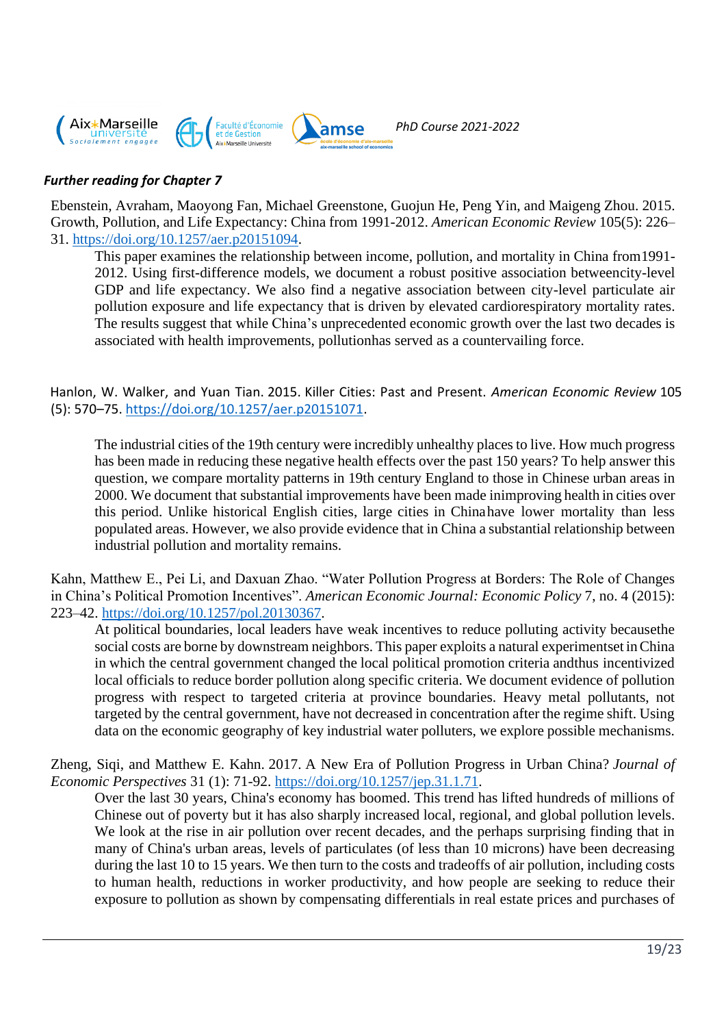

## *Further reading for Chapter 7*

Ebenstein, Avraham, Maoyong Fan, Michael Greenstone, Guojun He, Peng Yin, and Maigeng Zhou. 2015. Growth, Pollution, and Life Expectancy: China from 1991-2012. *American Economic Review* 105(5): 226– 31. [https://doi.org/10.1257/aer.p20151094.](https://doi.org/10.1257/aer.p20151094)

This paper examines the relationship between income, pollution, and mortality in China from1991- 2012. Using first-difference models, we document a robust positive association betweencity-level GDP and life expectancy. We also find a negative association between city-level particulate air pollution exposure and life expectancy that is driven by elevated cardiorespiratory mortality rates. The results suggest that while China's unprecedented economic growth over the last two decades is associated with health improvements, pollutionhas served as a countervailing force.

Hanlon, W. Walker, and Yuan Tian. 2015. Killer Cities: Past and Present. *American Economic Review* 105 (5): 570–75. [https://doi.org/10.1257/aer.p20151071.](https://doi.org/10.1257/aer.p20151071)

The industrial cities of the 19th century were incredibly unhealthy places to live. How much progress has been made in reducing these negative health effects over the past 150 years? To help answer this question, we compare mortality patterns in 19th century England to those in Chinese urban areas in 2000. We document that substantial improvements have been made inimproving health in cities over this period. Unlike historical English cities, large cities in Chinahave lower mortality than less populated areas. However, we also provide evidence that in China a substantial relationship between industrial pollution and mortality remains.

Kahn, Matthew E., Pei Li, and Daxuan Zhao. "Water Pollution Progress at Borders: The Role of Changes in China's Political Promotion Incentives". *American Economic Journal: Economic Policy* 7, no. 4 (2015): 223–42. [https://doi.org/10.1257/pol.20130367.](https://doi.org/10.1257/pol.20130367)

At political boundaries, local leaders have weak incentives to reduce polluting activity becausethe social costs are borne by downstream neighbors. This paper exploits a natural experimentset inChina in which the central government changed the local political promotion criteria andthus incentivized local officials to reduce border pollution along specific criteria. We document evidence of pollution progress with respect to targeted criteria at province boundaries. Heavy metal pollutants, not targeted by the central government, have not decreased in concentration after the regime shift. Using data on the economic geography of key industrial water polluters, we explore possible mechanisms.

Zheng, Siqi, and Matthew E. Kahn. 2017. A New Era of Pollution Progress in Urban China? *Journal of Economic Perspectives* 31 (1): 71-92. [https://doi.org/10.1257/jep.31.1.71.](https://doi.org/10.1257/jep.31.1.71)

Over the last 30 years, China's economy has boomed. This trend has lifted hundreds of millions of Chinese out of poverty but it has also sharply increased local, regional, and global pollution levels. We look at the rise in air pollution over recent decades, and the perhaps surprising finding that in many of China's urban areas, levels of particulates (of less than 10 microns) have been decreasing during the last 10 to 15 years. We then turn to the costs and tradeoffs of air pollution, including costs to human health, reductions in worker productivity, and how people are seeking to reduce their exposure to pollution as shown by compensating differentials in real estate prices and purchases of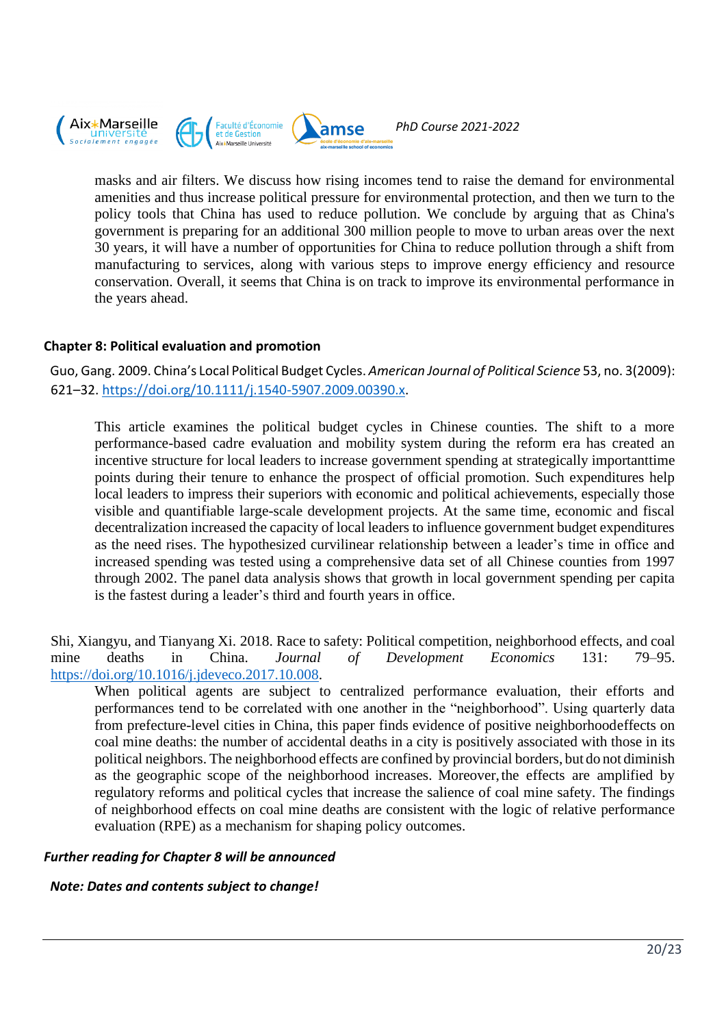

masks and air filters. We discuss how rising incomes tend to raise the demand for environmental amenities and thus increase political pressure for environmental protection, and then we turn to the policy tools that China has used to reduce pollution. We conclude by arguing that as China's government is preparing for an additional 300 million people to move to urban areas over the next 30 years, it will have a number of opportunities for China to reduce pollution through a shift from manufacturing to services, along with various steps to improve energy efficiency and resource conservation. Overall, it seems that China is on track to improve its environmental performance in the years ahead.

## **Chapter 8: Political evaluation and promotion**

Guo, Gang. 2009. China's Local Political Budget Cycles. *American Journal of Political Science* 53, no. 3(2009): 621–32[. https://doi.org/10.1111/j.1540-5907.2009.00390.x.](https://doi.org/10.1111/j.1540-5907.2009.00390.x)

This article examines the political budget cycles in Chinese counties. The shift to a more performance-based cadre evaluation and mobility system during the reform era has created an incentive structure for local leaders to increase government spending at strategically importanttime points during their tenure to enhance the prospect of official promotion. Such expenditures help local leaders to impress their superiors with economic and political achievements, especially those visible and quantifiable large-scale development projects. At the same time, economic and fiscal decentralization increased the capacity of local leaders to influence government budget expenditures as the need rises. The hypothesized curvilinear relationship between a leader's time in office and increased spending was tested using a comprehensive data set of all Chinese counties from 1997 through 2002. The panel data analysis shows that growth in local government spending per capita is the fastest during a leader's third and fourth years in office.

Shi, Xiangyu, and Tianyang Xi. 2018. Race to safety: Political competition, neighborhood effects, and coal mine deaths in China. *Journal of Development Economics* 131: 79–95. [https://doi.org/10.1016/j.jdeveco.2017.10.008.](https://doi.org/10.1016/j.jdeveco.2017.10.008)

When political agents are subject to centralized performance evaluation, their efforts and performances tend to be correlated with one another in the "neighborhood". Using quarterly data from prefecture-level cities in China, this paper finds evidence of positive neighborhoodeffects on coal mine deaths: the number of accidental deaths in a city is positively associated with those in its political neighbors. The neighborhood effects are confined by provincial borders, but do not diminish as the geographic scope of the neighborhood increases. Moreover,the effects are amplified by regulatory reforms and political cycles that increase the salience of coal mine safety. The findings of neighborhood effects on coal mine deaths are consistent with the logic of relative performance evaluation (RPE) as a mechanism for shaping policy outcomes.

#### *Further reading for Chapter 8 will be announced*

# *Note: Dates and contents subject to change!*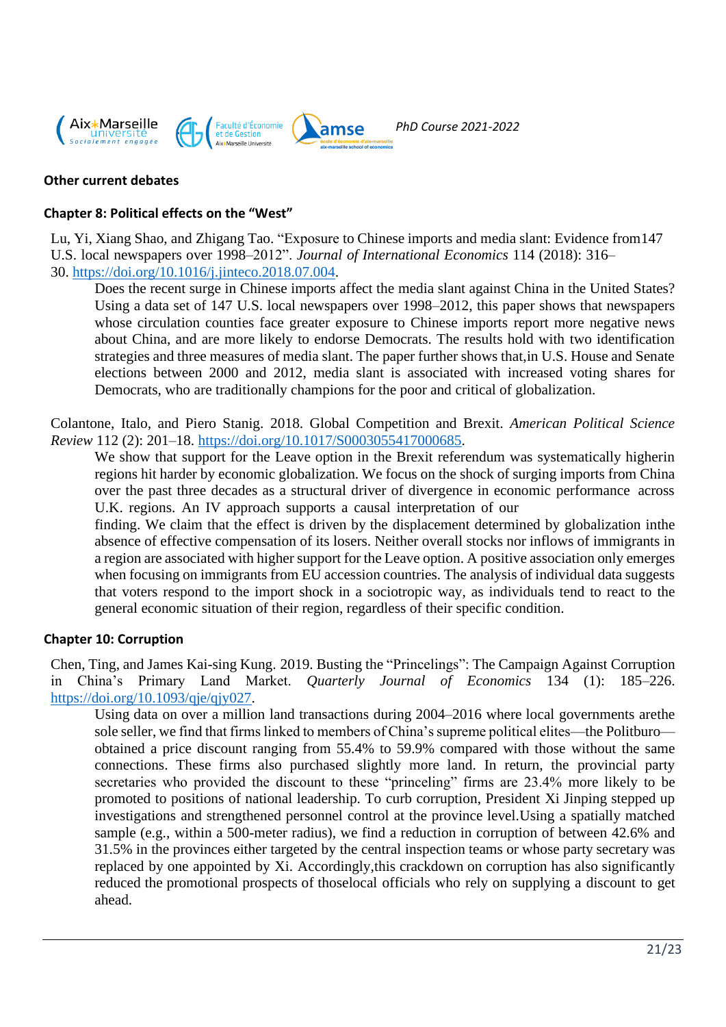

## **Other current debates**

## **Chapter 8: Political effects on the "West"**

Lu, Yi, Xiang Shao, and Zhigang Tao. "Exposure to Chinese imports and media slant: Evidence from147 U.S. local newspapers over 1998–2012". *Journal of International Economics* 114 (2018): 316– 30. [https://doi.org/10.1016/j.jinteco.2018.07.004.](https://doi.org/10.1016/j.jinteco.2018.07.004)

Does the recent surge in Chinese imports affect the media slant against China in the United States? Using a data set of 147 U.S. local newspapers over 1998–2012, this paper shows that newspapers whose circulation counties face greater exposure to Chinese imports report more negative news about China, and are more likely to endorse Democrats. The results hold with two identification strategies and three measures of media slant. The paper further shows that,in U.S. House and Senate elections between 2000 and 2012, media slant is associated with increased voting shares for Democrats, who are traditionally champions for the poor and critical of globalization.

Colantone, Italo, and Piero Stanig. 2018. Global Competition and Brexit. *American Political Science Review* 112 (2): 201–18. [https://doi.org/10.1017/S0003055417000685.](https://doi.org/10.1017/S0003055417000685)

We show that support for the Leave option in the Brexit referendum was systematically higherin regions hit harder by economic globalization. We focus on the shock of surging imports from China over the past three decades as a structural driver of divergence in economic performance across U.K. regions. An IV approach supports a causal interpretation of our

finding. We claim that the effect is driven by the displacement determined by globalization inthe absence of effective compensation of its losers. Neither overall stocks nor inflows of immigrants in a region are associated with higher support for the Leave option. A positive association only emerges when focusing on immigrants from EU accession countries. The analysis of individual data suggests that voters respond to the import shock in a sociotropic way, as individuals tend to react to the general economic situation of their region, regardless of their specific condition.

#### **Chapter 10: Corruption**

Chen, Ting, and James Kai-sing Kung. 2019. Busting the "Princelings": The Campaign Against Corruption in China's Primary Land Market. *Quarterly Journal of Economics* 134 (1): 185–226. [https://doi.org/10.1093/qje/qjy027.](https://doi.org/10.1093/qje/qjy027)

Using data on over a million land transactions during 2004–2016 where local governments arethe sole seller, we find that firms linked to members of China's supreme political elites—the Politburo obtained a price discount ranging from 55.4% to 59.9% compared with those without the same connections. These firms also purchased slightly more land. In return, the provincial party secretaries who provided the discount to these "princeling" firms are 23.4% more likely to be promoted to positions of national leadership. To curb corruption, President Xi Jinping stepped up investigations and strengthened personnel control at the province level.Using a spatially matched sample (e.g., within a 500-meter radius), we find a reduction in corruption of between 42.6% and 31.5% in the provinces either targeted by the central inspection teams or whose party secretary was replaced by one appointed by Xi. Accordingly,this crackdown on corruption has also significantly reduced the promotional prospects of thoselocal officials who rely on supplying a discount to get ahead.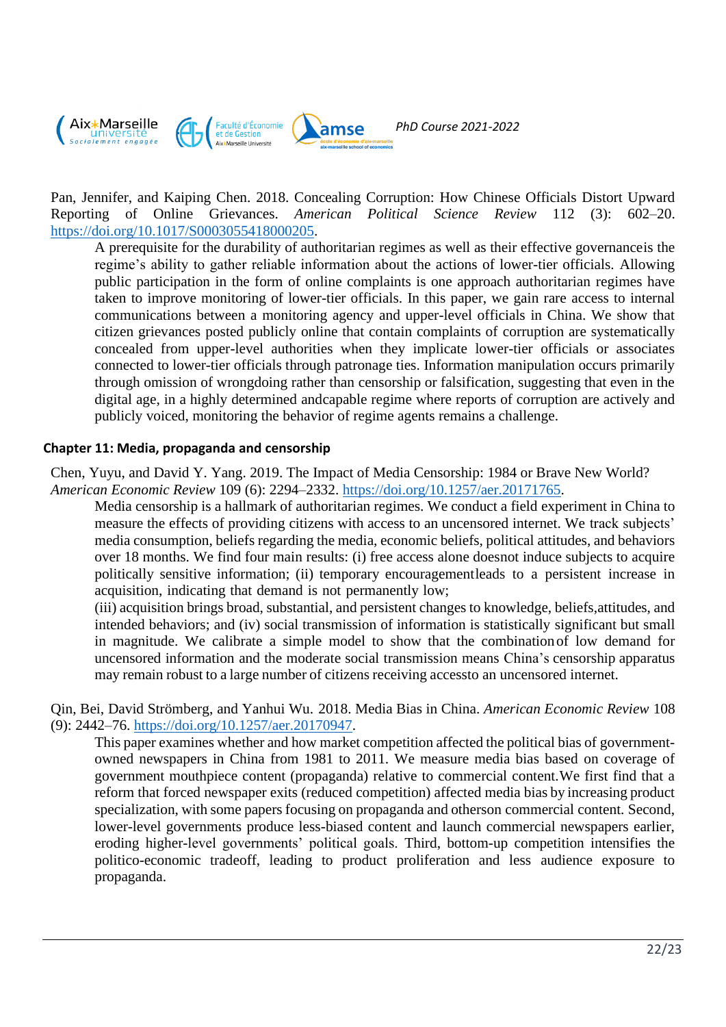

Pan, Jennifer, and Kaiping Chen. 2018. Concealing Corruption: How Chinese Officials Distort Upward Reporting of Online Grievances. *American Political Science Review* 112 (3): 602–20. [https://doi.org/10.1017/S0003055418000205.](https://doi.org/10.1017/S0003055418000205)

A prerequisite for the durability of authoritarian regimes as well as their effective governanceis the regime's ability to gather reliable information about the actions of lower-tier officials. Allowing public participation in the form of online complaints is one approach authoritarian regimes have taken to improve monitoring of lower-tier officials. In this paper, we gain rare access to internal communications between a monitoring agency and upper-level officials in China. We show that citizen grievances posted publicly online that contain complaints of corruption are systematically concealed from upper-level authorities when they implicate lower-tier officials or associates connected to lower-tier officials through patronage ties. Information manipulation occurs primarily through omission of wrongdoing rather than censorship or falsification, suggesting that even in the digital age, in a highly determined andcapable regime where reports of corruption are actively and publicly voiced, monitoring the behavior of regime agents remains a challenge.

## **Chapter 11: Media, propaganda and censorship**

Chen, Yuyu, and David Y. Yang. 2019. The Impact of Media Censorship: 1984 or Brave New World? *American Economic Review* 109 (6): 2294–2332. [https://doi.org/10.1257/aer.20171765.](https://doi.org/10.1257/aer.20171765)

Media censorship is a hallmark of authoritarian regimes. We conduct a field experiment in China to measure the effects of providing citizens with access to an uncensored internet. We track subjects' media consumption, beliefs regarding the media, economic beliefs, political attitudes, and behaviors over 18 months. We find four main results: (i) free access alone doesnot induce subjects to acquire politically sensitive information; (ii) temporary encouragementleads to a persistent increase in acquisition, indicating that demand is not permanently low;

(iii) acquisition brings broad, substantial, and persistent changes to knowledge, beliefs,attitudes, and intended behaviors; and (iv) social transmission of information is statistically significant but small in magnitude. We calibrate a simple model to show that the combinationof low demand for uncensored information and the moderate social transmission means China's censorship apparatus may remain robust to a large number of citizens receiving accessto an uncensored internet.

Qin, Bei, David Strömberg, and Yanhui Wu. 2018. Media Bias in China. *American Economic Review* 108 (9): 2442–76. [https://doi.org/10.1257/aer.20170947.](https://doi.org/10.1257/aer.20170947)

This paper examines whether and how market competition affected the political bias of governmentowned newspapers in China from 1981 to 2011. We measure media bias based on coverage of government mouthpiece content (propaganda) relative to commercial content.We first find that a reform that forced newspaper exits (reduced competition) affected media bias by increasing product specialization, with some papers focusing on propaganda and otherson commercial content. Second, lower-level governments produce less-biased content and launch commercial newspapers earlier, eroding higher-level governments' political goals. Third, bottom-up competition intensifies the politico-economic tradeoff, leading to product proliferation and less audience exposure to propaganda.